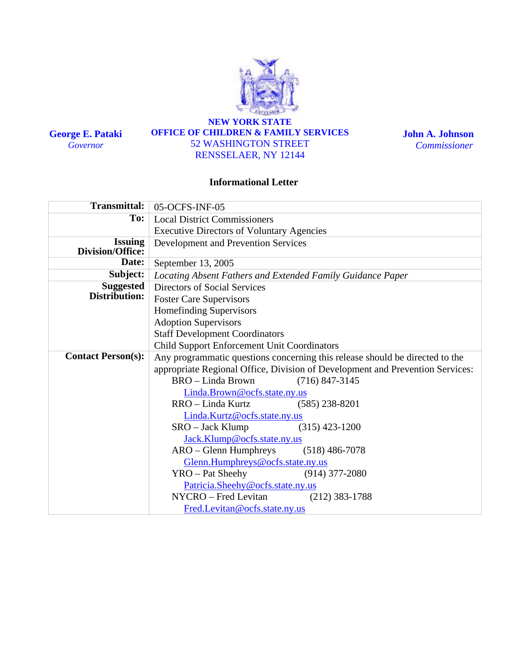

**George E. Pataki**  *Governor* 

#### **NEW YORK STATE OFFICE OF CHILDREN & FAMILY SERVICES**  52 WASHINGTON STREET RENSSELAER, NY 12144

**John A. Johnson**  *Commissioner*

#### **Informational Letter**

| <b>Transmittal:</b>       | 05-OCFS-INF-05                                                                |  |  |  |  |
|---------------------------|-------------------------------------------------------------------------------|--|--|--|--|
| To:                       | <b>Local District Commissioners</b>                                           |  |  |  |  |
|                           | <b>Executive Directors of Voluntary Agencies</b>                              |  |  |  |  |
| <b>Issuing</b>            | <b>Development and Prevention Services</b>                                    |  |  |  |  |
| Division/Office:          |                                                                               |  |  |  |  |
| Date:                     | September 13, 2005                                                            |  |  |  |  |
| Subject:                  | Locating Absent Fathers and Extended Family Guidance Paper                    |  |  |  |  |
| <b>Suggested</b>          | Directors of Social Services                                                  |  |  |  |  |
| Distribution:             | <b>Foster Care Supervisors</b>                                                |  |  |  |  |
|                           | Homefinding Supervisors                                                       |  |  |  |  |
|                           | <b>Adoption Supervisors</b>                                                   |  |  |  |  |
|                           | <b>Staff Development Coordinators</b>                                         |  |  |  |  |
|                           | Child Support Enforcement Unit Coordinators                                   |  |  |  |  |
| <b>Contact Person(s):</b> | Any programmatic questions concerning this release should be directed to the  |  |  |  |  |
|                           | appropriate Regional Office, Division of Development and Prevention Services: |  |  |  |  |
|                           | BRO – Linda Brown<br>$(716)$ 847-3145                                         |  |  |  |  |
|                           | Linda.Brown@ocfs.state.ny.us                                                  |  |  |  |  |
|                           | RRO – Linda Kurtz<br>$(585)$ 238-8201                                         |  |  |  |  |
|                           | Linda.Kurtz@ocfs.state.ny.us                                                  |  |  |  |  |
|                           | $SRO - Jack Klump$<br>$(315)$ 423-1200                                        |  |  |  |  |
|                           | Jack.Klump@ocfs.state.ny.us                                                   |  |  |  |  |
|                           | $ARO - Glenn$ Humphreys $(518)$ 486-7078                                      |  |  |  |  |
|                           | Glenn.Humphreys@ocfs.state.ny.us                                              |  |  |  |  |
|                           | YRO - Pat Sheehy<br>$(914)$ 377-2080                                          |  |  |  |  |
|                           | Patricia.Sheehy@ocfs.state.ny.us                                              |  |  |  |  |
|                           | NYCRO – Fred Levitan<br>$(212)$ 383-1788                                      |  |  |  |  |
|                           | Fred.Levitan@ocfs.state.ny.us                                                 |  |  |  |  |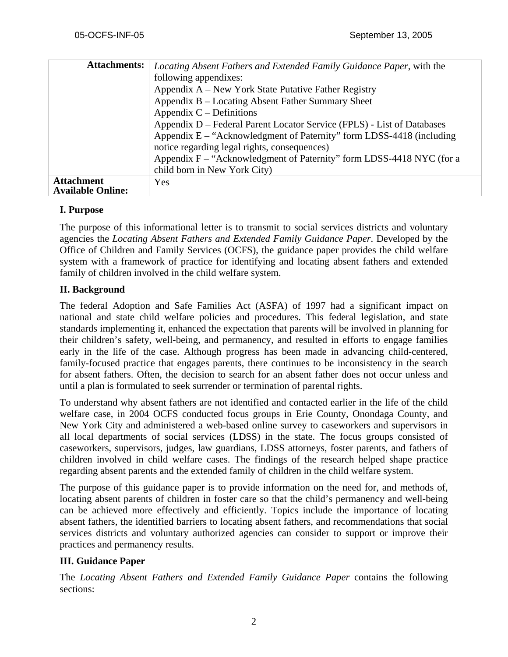| <b>Attachments:</b>      | Locating Absent Fathers and Extended Family Guidance Paper, with the   |  |  |  |  |
|--------------------------|------------------------------------------------------------------------|--|--|--|--|
|                          | following appendixes:                                                  |  |  |  |  |
|                          | Appendix A – New York State Putative Father Registry                   |  |  |  |  |
|                          | Appendix B – Locating Absent Father Summary Sheet                      |  |  |  |  |
|                          | Appendix $C$ – Definitions                                             |  |  |  |  |
|                          | Appendix D – Federal Parent Locator Service (FPLS) - List of Databases |  |  |  |  |
|                          | Appendix $E - "Acknowledgment of Paternity" form LDSS-4418 (including$ |  |  |  |  |
|                          | notice regarding legal rights, consequences)                           |  |  |  |  |
|                          | Appendix F – "Acknowledgment of Paternity" form LDSS-4418 NYC (for a   |  |  |  |  |
|                          | child born in New York City)                                           |  |  |  |  |
| <b>Attachment</b>        | <b>Yes</b>                                                             |  |  |  |  |
| <b>Available Online:</b> |                                                                        |  |  |  |  |

#### **I. Purpose**

The purpose of this informational letter is to transmit to social services districts and voluntary agencies the *Locating Absent Fathers and Extended Family Guidance Paper*. Developed by the Office of Children and Family Services (OCFS), the guidance paper provides the child welfare system with a framework of practice for identifying and locating absent fathers and extended family of children involved in the child welfare system.

#### **II. Background**

The federal Adoption and Safe Families Act (ASFA) of 1997 had a significant impact on national and state child welfare policies and procedures. This federal legislation, and state standards implementing it, enhanced the expectation that parents will be involved in planning for their children's safety, well-being, and permanency, and resulted in efforts to engage families early in the life of the case. Although progress has been made in advancing child-centered, family-focused practice that engages parents, there continues to be inconsistency in the search for absent fathers. Often, the decision to search for an absent father does not occur unless and until a plan is formulated to seek surrender or termination of parental rights.

To understand why absent fathers are not identified and contacted earlier in the life of the child welfare case, in 2004 OCFS conducted focus groups in Erie County, Onondaga County, and New York City and administered a web-based online survey to caseworkers and supervisors in all local departments of social services (LDSS) in the state. The focus groups consisted of caseworkers, supervisors, judges, law guardians, LDSS attorneys, foster parents, and fathers of children involved in child welfare cases. The findings of the research helped shape practice regarding absent parents and the extended family of children in the child welfare system.

The purpose of this guidance paper is to provide information on the need for, and methods of, locating absent parents of children in foster care so that the child's permanency and well-being can be achieved more effectively and efficiently. Topics include the importance of locating absent fathers, the identified barriers to locating absent fathers, and recommendations that social services districts and voluntary authorized agencies can consider to support or improve their practices and permanency results.

#### **III. Guidance Paper**

The *Locating Absent Fathers and Extended Family Guidance Paper* contains the following sections: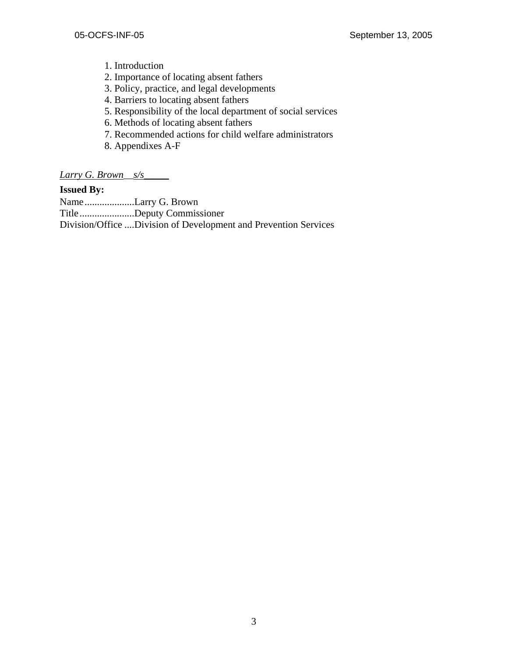- 1. Introduction
- 2. Importance of locating absent fathers
- 3. Policy, practice, and legal developments
- 4. Barriers to locating absent fathers
- 5. Responsibility of the local department of social services
- 6. Methods of locating absent fathers
- 7. Recommended actions for child welfare administrators
- 8. Appendixes A-F

*Larry G. Brown*\_\_*s/s*\_\_\_\_\_

#### **Issued By:**

Name ....................Larry G. Brown Title......................Deputy Commissioner Division/Office ....Division of Development and Prevention Services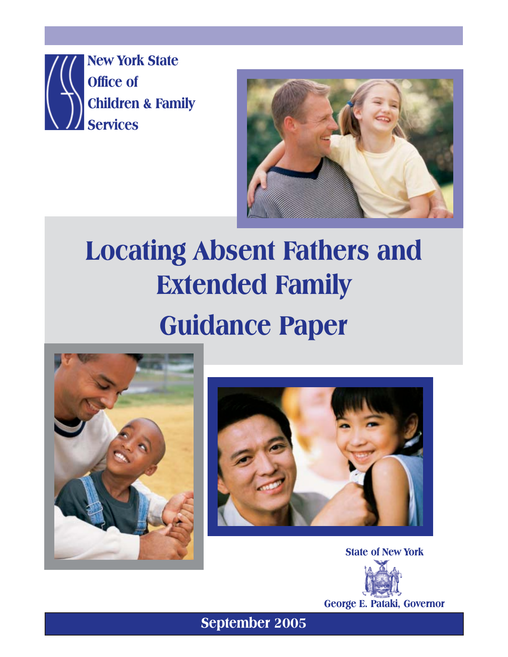**New York State Office of Children & Family Services**



# **Locating Absent Fathers and Extended Family Guidance Paper**





**State of New York**



**George E. Pataki, Governor**

**Absent Fathers/Extended Family Guidance Paper - 28 - September 2005**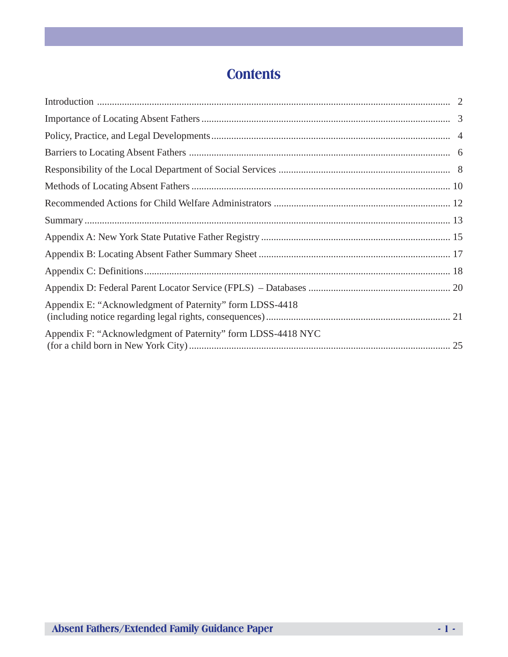# **Contents**

| Appendix E: "Acknowledgment of Paternity" form LDSS-4418     |  |
|--------------------------------------------------------------|--|
| Appendix F: "Acknowledgment of Paternity" form LDSS-4418 NYC |  |
|                                                              |  |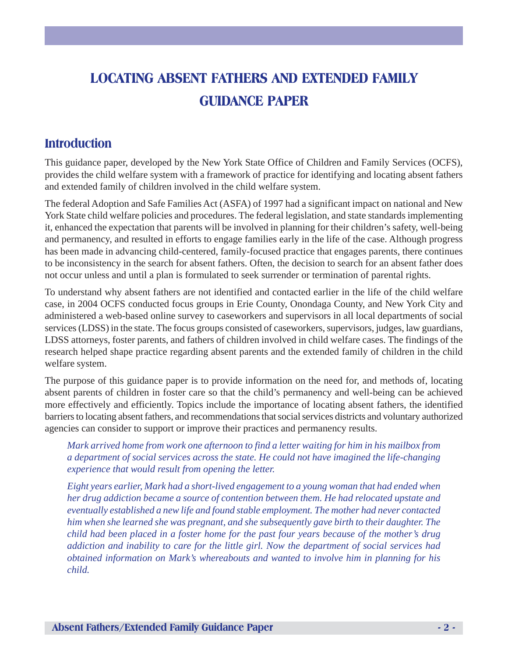# **LOCATING ABSENT FATHERS AND EXTENDED FAMILY GUIDANCE PAPER**

# **Introduction**

This guidance paper, developed by the New York State Office of Children and Family Services (OCFS), provides the child welfare system with a framework of practice for identifying and locating absent fathers and extended family of children involved in the child welfare system.

The federal Adoption and Safe Families Act (ASFA) of 1997 had a significant impact on national and New York State child welfare policies and procedures. The federal legislation, and state standards implementing it, enhanced the expectation that parents will be involved in planning for their children's safety, well-being and permanency, and resulted in efforts to engage families early in the life of the case. Although progress has been made in advancing child-centered, family-focused practice that engages parents, there continues to be inconsistency in the search for absent fathers. Often, the decision to search for an absent father does not occur unless and until a plan is formulated to seek surrender or termination of parental rights.

To understand why absent fathers are not identified and contacted earlier in the life of the child welfare case, in 2004 OCFS conducted focus groups in Erie County, Onondaga County, and New York City and administered a web-based online survey to caseworkers and supervisors in all local departments of social services (LDSS) in the state. The focus groups consisted of caseworkers, supervisors, judges, law guardians, LDSS attorneys, foster parents, and fathers of children involved in child welfare cases. The findings of the research helped shape practice regarding absent parents and the extended family of children in the child welfare system.

The purpose of this guidance paper is to provide information on the need for, and methods of, locating absent parents of children in foster care so that the child's permanency and well-being can be achieved more effectively and efficiently. Topics include the importance of locating absent fathers, the identified barriers to locating absent fathers, and recommendations that social services districts and voluntary authorized agencies can consider to support or improve their practices and permanency results.

*Mark arrived home from work one afternoon to find a letter waiting for him in his mailbox from a department of social services across the state. He could not have imagined the life-changing experience that would result from opening the letter.*

*Eight years earlier, Mark had a short-lived engagement to a young woman that had ended when her drug addiction became a source of contention between them. He had relocated upstate and eventually established a new life and found stable employment. The mother had never contacted him when she learned she was pregnant, and she subsequently gave birth to their daughter. The child had been placed in a foster home for the past four years because of the mother's drug addiction and inability to care for the little girl. Now the department of social services had obtained information on Mark's whereabouts and wanted to involve him in planning for his child.*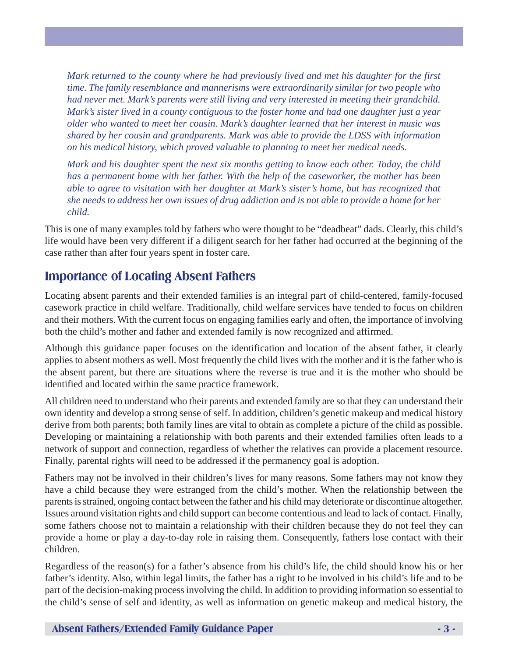*Mark returned to the county where he had previously lived and met his daughter for the first time. The family resemblance and mannerisms were extraordinarily similar for two people who had never met. Mark's parents were still living and very interested in meeting their grandchild. Mark's sister lived in a county contiguous to the foster home and had one daughter just a year older who wanted to meet her cousin. Mark's daughter learned that her interest in music was shared by her cousin and grandparents. Mark was able to provide the LDSS with information on his medical history, which proved valuable to planning to meet her medical needs.*

*Mark and his daughter spent the next six months getting to know each other. Today, the child has a permanent home with her father. With the help of the caseworker, the mother has been able to agree to visitation with her daughter at Mark's sister's home, but has recognized that she needs to address her own issues of drug addiction and is not able to provide a home for her child.*

This is one of many examples told by fathers who were thought to be "deadbeat" dads. Clearly, this child's life would have been very different if a diligent search for her father had occurred at the beginning of the case rather than after four years spent in foster care.

# **Importance of Locating Absent Fathers**

Locating absent parents and their extended families is an integral part of child-centered, family-focused casework practice in child welfare. Traditionally, child welfare services have tended to focus on children and their mothers. With the current focus on engaging families early and often, the importance of involving both the child's mother and father and extended family is now recognized and affirmed.

Although this guidance paper focuses on the identification and location of the absent father, it clearly applies to absent mothers as well. Most frequently the child lives with the mother and it is the father who is the absent parent, but there are situations where the reverse is true and it is the mother who should be identified and located within the same practice framework.

All children need to understand who their parents and extended family are so that they can understand their own identity and develop a strong sense of self. In addition, children's genetic makeup and medical history derive from both parents; both family lines are vital to obtain as complete a picture of the child as possible. Developing or maintaining a relationship with both parents and their extended families often leads to a network of support and connection, regardless of whether the relatives can provide a placement resource. Finally, parental rights will need to be addressed if the permanency goal is adoption.

Fathers may not be involved in their children's lives for many reasons. Some fathers may not know they have a child because they were estranged from the child's mother. When the relationship between the parents is strained, ongoing contact between the father and his child may deteriorate or discontinue altogether. Issues around visitation rights and child support can become contentious and lead to lack of contact. Finally, some fathers choose not to maintain a relationship with their children because they do not feel they can provide a home or play a day-to-day role in raising them. Consequently, fathers lose contact with their children.

Regardless of the reason(s) for a father's absence from his child's life, the child should know his or her father's identity. Also, within legal limits, the father has a right to be involved in his child's life and to be part of the decision-making process involving the child. In addition to providing information so essential to the child's sense of self and identity, as well as information on genetic makeup and medical history, the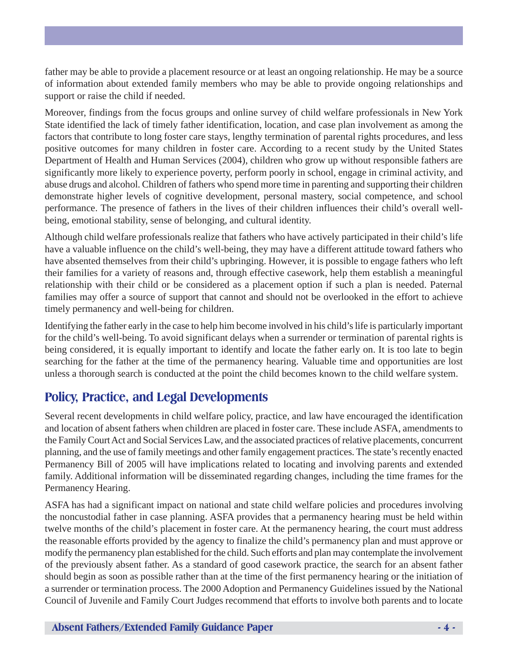father may be able to provide a placement resource or at least an ongoing relationship. He may be a source of information about extended family members who may be able to provide ongoing relationships and support or raise the child if needed.

Moreover, findings from the focus groups and online survey of child welfare professionals in New York State identified the lack of timely father identification, location, and case plan involvement as among the factors that contribute to long foster care stays, lengthy termination of parental rights procedures, and less positive outcomes for many children in foster care. According to a recent study by the United States Department of Health and Human Services (2004), children who grow up without responsible fathers are significantly more likely to experience poverty, perform poorly in school, engage in criminal activity, and abuse drugs and alcohol. Children of fathers who spend more time in parenting and supporting their children demonstrate higher levels of cognitive development, personal mastery, social competence, and school performance. The presence of fathers in the lives of their children influences their child's overall wellbeing, emotional stability, sense of belonging, and cultural identity.

Although child welfare professionals realize that fathers who have actively participated in their child's life have a valuable influence on the child's well-being, they may have a different attitude toward fathers who have absented themselves from their child's upbringing. However, it is possible to engage fathers who left their families for a variety of reasons and, through effective casework, help them establish a meaningful relationship with their child or be considered as a placement option if such a plan is needed. Paternal families may offer a source of support that cannot and should not be overlooked in the effort to achieve timely permanency and well-being for children.

Identifying the father early in the case to help him become involved in his child's life is particularly important for the child's well-being. To avoid significant delays when a surrender or termination of parental rights is being considered, it is equally important to identify and locate the father early on. It is too late to begin searching for the father at the time of the permanency hearing. Valuable time and opportunities are lost unless a thorough search is conducted at the point the child becomes known to the child welfare system.

## **Policy, Practice, and Legal Developments**

Several recent developments in child welfare policy, practice, and law have encouraged the identification and location of absent fathers when children are placed in foster care. These include ASFA, amendments to the Family Court Act and Social Services Law, and the associated practices of relative placements, concurrent planning, and the use of family meetings and other family engagement practices. The state's recently enacted Permanency Bill of 2005 will have implications related to locating and involving parents and extended family. Additional information will be disseminated regarding changes, including the time frames for the Permanency Hearing.

ASFA has had a significant impact on national and state child welfare policies and procedures involving the noncustodial father in case planning. ASFA provides that a permanency hearing must be held within twelve months of the child's placement in foster care. At the permanency hearing, the court must address the reasonable efforts provided by the agency to finalize the child's permanency plan and must approve or modify the permanency plan established for the child. Such efforts and plan may contemplate the involvement of the previously absent father. As a standard of good casework practice, the search for an absent father should begin as soon as possible rather than at the time of the first permanency hearing or the initiation of a surrender or termination process. The 2000 Adoption and Permanency Guidelines issued by the National Council of Juvenile and Family Court Judges recommend that efforts to involve both parents and to locate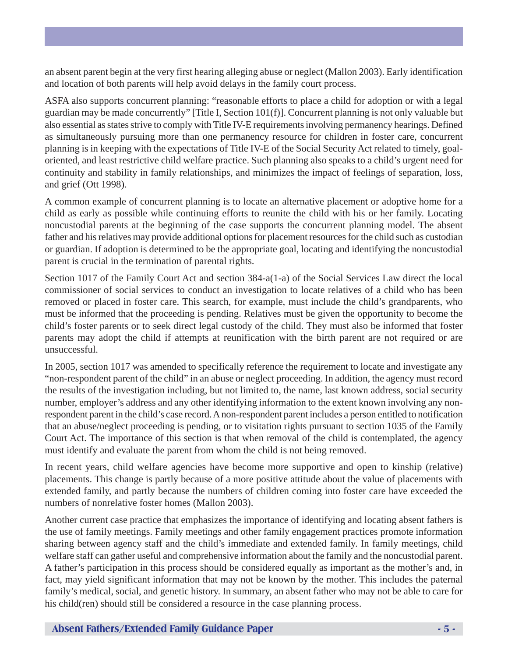an absent parent begin at the very first hearing alleging abuse or neglect (Mallon 2003). Early identification and location of both parents will help avoid delays in the family court process.

ASFA also supports concurrent planning: "reasonable efforts to place a child for adoption or with a legal guardian may be made concurrently" [Title I, Section 101(f)]. Concurrent planning is not only valuable but also essential as states strive to comply with Title IV-E requirements involving permanency hearings. Defined as simultaneously pursuing more than one permanency resource for children in foster care, concurrent planning is in keeping with the expectations of Title IV-E of the Social Security Act related to timely, goaloriented, and least restrictive child welfare practice. Such planning also speaks to a child's urgent need for continuity and stability in family relationships, and minimizes the impact of feelings of separation, loss, and grief (Ott 1998).

A common example of concurrent planning is to locate an alternative placement or adoptive home for a child as early as possible while continuing efforts to reunite the child with his or her family. Locating noncustodial parents at the beginning of the case supports the concurrent planning model. The absent father and his relatives may provide additional options for placement resources for the child such as custodian or guardian. If adoption is determined to be the appropriate goal, locating and identifying the noncustodial parent is crucial in the termination of parental rights.

Section 1017 of the Family Court Act and section 384-a(1-a) of the Social Services Law direct the local commissioner of social services to conduct an investigation to locate relatives of a child who has been removed or placed in foster care. This search, for example, must include the child's grandparents, who must be informed that the proceeding is pending. Relatives must be given the opportunity to become the child's foster parents or to seek direct legal custody of the child. They must also be informed that foster parents may adopt the child if attempts at reunification with the birth parent are not required or are unsuccessful.

In 2005, section 1017 was amended to specifically reference the requirement to locate and investigate any "non-respondent parent of the child" in an abuse or neglect proceeding. In addition, the agency must record the results of the investigation including, but not limited to, the name, last known address, social security number, employer's address and any other identifying information to the extent known involving any nonrespondent parent in the child's case record. A non-respondent parent includes a person entitled to notification that an abuse/neglect proceeding is pending, or to visitation rights pursuant to section 1035 of the Family Court Act. The importance of this section is that when removal of the child is contemplated, the agency must identify and evaluate the parent from whom the child is not being removed.

In recent years, child welfare agencies have become more supportive and open to kinship (relative) placements. This change is partly because of a more positive attitude about the value of placements with extended family, and partly because the numbers of children coming into foster care have exceeded the numbers of nonrelative foster homes (Mallon 2003).

Another current case practice that emphasizes the importance of identifying and locating absent fathers is the use of family meetings. Family meetings and other family engagement practices promote information sharing between agency staff and the child's immediate and extended family. In family meetings, child welfare staff can gather useful and comprehensive information about the family and the noncustodial parent. A father's participation in this process should be considered equally as important as the mother's and, in fact, may yield significant information that may not be known by the mother. This includes the paternal family's medical, social, and genetic history. In summary, an absent father who may not be able to care for his child(ren) should still be considered a resource in the case planning process.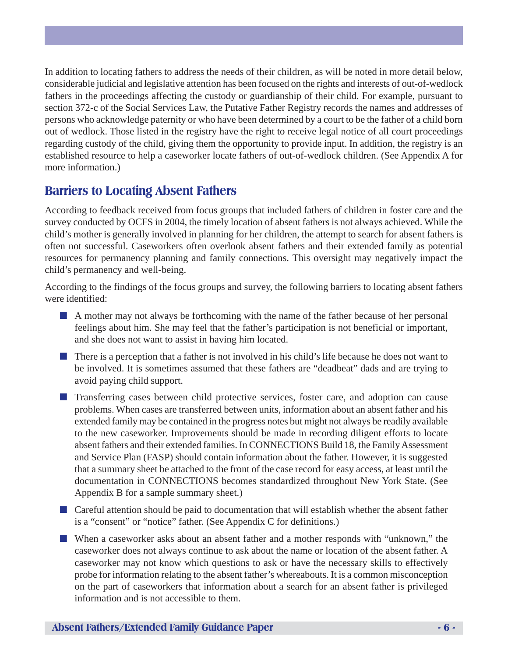In addition to locating fathers to address the needs of their children, as will be noted in more detail below, considerable judicial and legislative attention has been focused on the rights and interests of out-of-wedlock fathers in the proceedings affecting the custody or guardianship of their child. For example, pursuant to section 372-c of the Social Services Law, the Putative Father Registry records the names and addresses of persons who acknowledge paternity or who have been determined by a court to be the father of a child born out of wedlock. Those listed in the registry have the right to receive legal notice of all court proceedings regarding custody of the child, giving them the opportunity to provide input. In addition, the registry is an established resource to help a caseworker locate fathers of out-of-wedlock children. (See Appendix A for more information.)

# **Barriers to Locating Absent Fathers**

According to feedback received from focus groups that included fathers of children in foster care and the survey conducted by OCFS in 2004, the timely location of absent fathers is not always achieved. While the child's mother is generally involved in planning for her children, the attempt to search for absent fathers is often not successful. Caseworkers often overlook absent fathers and their extended family as potential resources for permanency planning and family connections. This oversight may negatively impact the child's permanency and well-being.

According to the findings of the focus groups and survey, the following barriers to locating absent fathers were identified:

- A mother may not always be forthcoming with the name of the father because of her personal feelings about him. She may feel that the father's participation is not beneficial or important, and she does not want to assist in having him located.
- There is a perception that a father is not involved in his child's life because he does not want to be involved. It is sometimes assumed that these fathers are "deadbeat" dads and are trying to avoid paying child support.
- Transferring cases between child protective services, foster care, and adoption can cause problems. When cases are transferred between units, information about an absent father and his extended family may be contained in the progress notes but might not always be readily available to the new caseworker. Improvements should be made in recording diligent efforts to locate absent fathers and their extended families. In CONNECTIONS Build 18, the Family Assessment and Service Plan (FASP) should contain information about the father. However, it is suggested that a summary sheet be attached to the front of the case record for easy access, at least until the documentation in CONNECTIONS becomes standardized throughout New York State. (See Appendix B for a sample summary sheet.)
- Careful attention should be paid to documentation that will establish whether the absent father is a "consent" or "notice" father. (See Appendix C for definitions.)
- When a caseworker asks about an absent father and a mother responds with "unknown," the caseworker does not always continue to ask about the name or location of the absent father. A caseworker may not know which questions to ask or have the necessary skills to effectively probe for information relating to the absent father's whereabouts. It is a common misconception on the part of caseworkers that information about a search for an absent father is privileged information and is not accessible to them.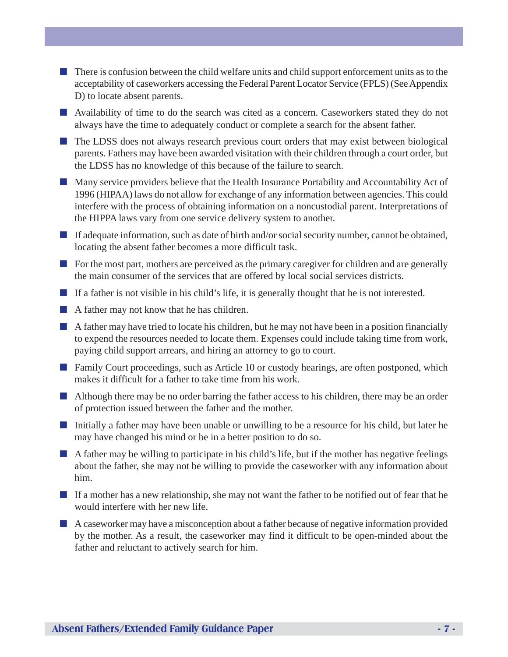- There is confusion between the child welfare units and child support enforcement units as to the acceptability of caseworkers accessing the Federal Parent Locator Service (FPLS) (See Appendix D) to locate absent parents.
- Availability of time to do the search was cited as a concern. Caseworkers stated they do not always have the time to adequately conduct or complete a search for the absent father.
- The LDSS does not always research previous court orders that may exist between biological parents. Fathers may have been awarded visitation with their children through a court order, but the LDSS has no knowledge of this because of the failure to search.
- Many service providers believe that the Health Insurance Portability and Accountability Act of 1996 (HIPAA) laws do not allow for exchange of any information between agencies. This could interfere with the process of obtaining information on a noncustodial parent. Interpretations of the HIPPA laws vary from one service delivery system to another.
- If adequate information, such as date of birth and/or social security number, cannot be obtained, locating the absent father becomes a more difficult task.
- For the most part, mothers are perceived as the primary caregiver for children and are generally the main consumer of the services that are offered by local social services districts.
- If a father is not visible in his child's life, it is generally thought that he is not interested.
- A father may not know that he has children.
- A father may have tried to locate his children, but he may not have been in a position financially to expend the resources needed to locate them. Expenses could include taking time from work, paying child support arrears, and hiring an attorney to go to court.
- Family Court proceedings, such as Article 10 or custody hearings, are often postponed, which makes it difficult for a father to take time from his work.
- Although there may be no order barring the father access to his children, there may be an order of protection issued between the father and the mother.
- Initially a father may have been unable or unwilling to be a resource for his child, but later he may have changed his mind or be in a better position to do so.
- A father may be willing to participate in his child's life, but if the mother has negative feelings about the father, she may not be willing to provide the caseworker with any information about him.
- If a mother has a new relationship, she may not want the father to be notified out of fear that he would interfere with her new life.
- A caseworker may have a misconception about a father because of negative information provided by the mother. As a result, the caseworker may find it difficult to be open-minded about the father and reluctant to actively search for him.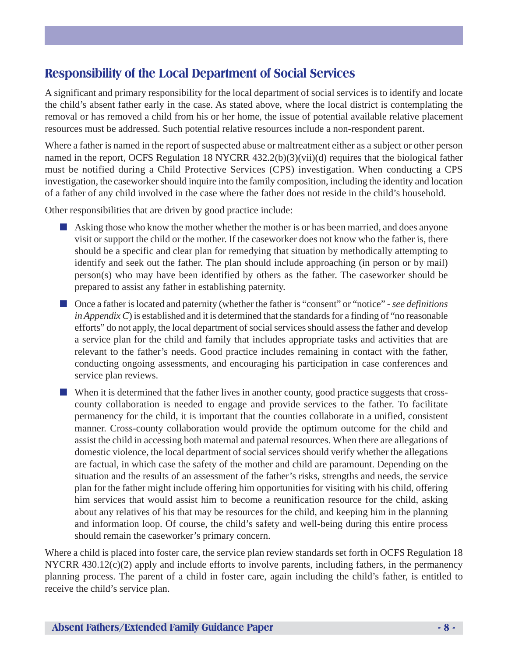# **Responsibility of the Local Department of Social Services**

A significant and primary responsibility for the local department of social services is to identify and locate the child's absent father early in the case. As stated above, where the local district is contemplating the removal or has removed a child from his or her home, the issue of potential available relative placement resources must be addressed. Such potential relative resources include a non-respondent parent.

Where a father is named in the report of suspected abuse or maltreatment either as a subject or other person named in the report, OCFS Regulation 18 NYCRR 432.2(b)(3)(vii)(d) requires that the biological father must be notified during a Child Protective Services (CPS) investigation. When conducting a CPS investigation, the caseworker should inquire into the family composition, including the identity and location of a father of any child involved in the case where the father does not reside in the child's household.

Other responsibilities that are driven by good practice include:

- Asking those who know the mother whether the mother is or has been married, and does anyone visit or support the child or the mother. If the caseworker does not know who the father is, there should be a specific and clear plan for remedying that situation by methodically attempting to identify and seek out the father. The plan should include approaching (in person or by mail) person(s) who may have been identified by others as the father. The caseworker should be prepared to assist any father in establishing paternity.
- Once a father is located and paternity (whether the father is "consent" or "notice" *see definitions in Appendix C*) is established and it is determined that the standards for a finding of "no reasonable" efforts" do not apply, the local department of social services should assess the father and develop a service plan for the child and family that includes appropriate tasks and activities that are relevant to the father's needs. Good practice includes remaining in contact with the father, conducting ongoing assessments, and encouraging his participation in case conferences and service plan reviews.
- When it is determined that the father lives in another county, good practice suggests that crosscounty collaboration is needed to engage and provide services to the father. To facilitate permanency for the child, it is important that the counties collaborate in a unified, consistent manner. Cross-county collaboration would provide the optimum outcome for the child and assist the child in accessing both maternal and paternal resources. When there are allegations of domestic violence, the local department of social services should verify whether the allegations are factual, in which case the safety of the mother and child are paramount. Depending on the situation and the results of an assessment of the father's risks, strengths and needs, the service plan for the father might include offering him opportunities for visiting with his child, offering him services that would assist him to become a reunification resource for the child, asking about any relatives of his that may be resources for the child, and keeping him in the planning and information loop. Of course, the child's safety and well-being during this entire process should remain the caseworker's primary concern.

Where a child is placed into foster care, the service plan review standards set forth in OCFS Regulation 18 NYCRR 430.12(c)(2) apply and include efforts to involve parents, including fathers, in the permanency planning process. The parent of a child in foster care, again including the child's father, is entitled to receive the child's service plan.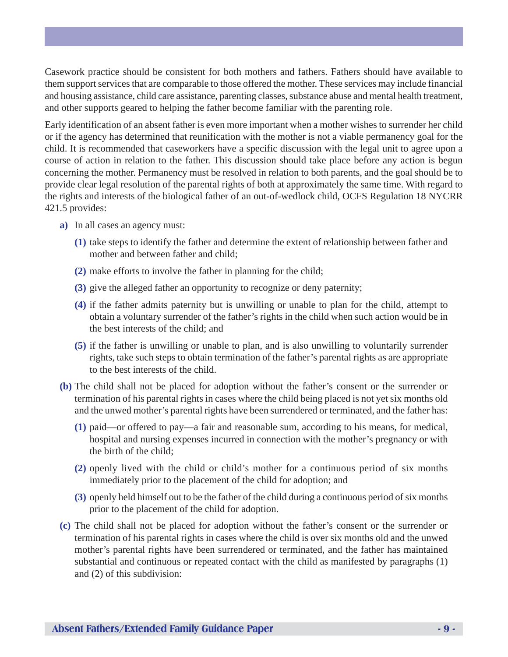Casework practice should be consistent for both mothers and fathers. Fathers should have available to them support services that are comparable to those offered the mother. These services may include financial and housing assistance, child care assistance, parenting classes, substance abuse and mental health treatment, and other supports geared to helping the father become familiar with the parenting role.

Early identification of an absent father is even more important when a mother wishes to surrender her child or if the agency has determined that reunification with the mother is not a viable permanency goal for the child. It is recommended that caseworkers have a specific discussion with the legal unit to agree upon a course of action in relation to the father. This discussion should take place before any action is begun concerning the mother. Permanency must be resolved in relation to both parents, and the goal should be to provide clear legal resolution of the parental rights of both at approximately the same time. With regard to the rights and interests of the biological father of an out-of-wedlock child, OCFS Regulation 18 NYCRR 421.5 provides:

- **a)** In all cases an agency must:
	- **(1)** take steps to identify the father and determine the extent of relationship between father and mother and between father and child;
	- **(2)** make efforts to involve the father in planning for the child;
	- **(3)** give the alleged father an opportunity to recognize or deny paternity;
	- **(4)** if the father admits paternity but is unwilling or unable to plan for the child, attempt to obtain a voluntary surrender of the father's rights in the child when such action would be in the best interests of the child; and
	- **(5)** if the father is unwilling or unable to plan, and is also unwilling to voluntarily surrender rights, take such steps to obtain termination of the father's parental rights as are appropriate to the best interests of the child.
- **(b)** The child shall not be placed for adoption without the father's consent or the surrender or termination of his parental rights in cases where the child being placed is not yet six months old and the unwed mother's parental rights have been surrendered or terminated, and the father has:
	- **(1)** paid—or offered to pay—a fair and reasonable sum, according to his means, for medical, hospital and nursing expenses incurred in connection with the mother's pregnancy or with the birth of the child;
	- **(2)** openly lived with the child or child's mother for a continuous period of six months immediately prior to the placement of the child for adoption; and
	- **(3)** openly held himself out to be the father of the child during a continuous period of six months prior to the placement of the child for adoption.
- **(c)** The child shall not be placed for adoption without the father's consent or the surrender or termination of his parental rights in cases where the child is over six months old and the unwed mother's parental rights have been surrendered or terminated, and the father has maintained substantial and continuous or repeated contact with the child as manifested by paragraphs (1) and (2) of this subdivision: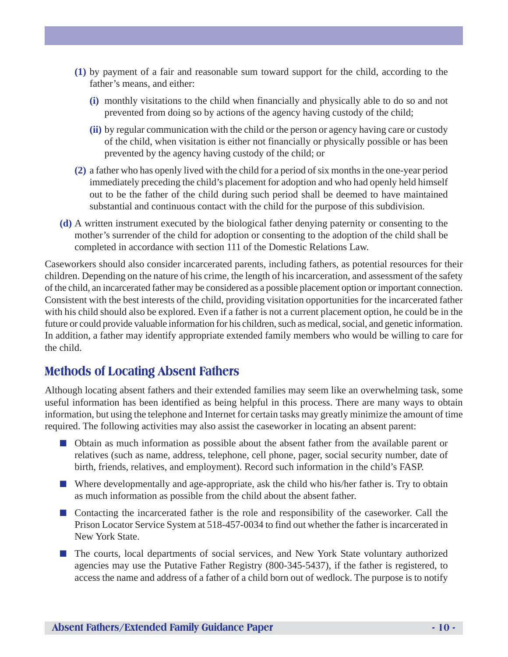- **(1)** by payment of a fair and reasonable sum toward support for the child, according to the father's means, and either:
	- **(i)** monthly visitations to the child when financially and physically able to do so and not prevented from doing so by actions of the agency having custody of the child;
	- **(ii)** by regular communication with the child or the person or agency having care or custody of the child, when visitation is either not financially or physically possible or has been prevented by the agency having custody of the child; or
- **(2)** a father who has openly lived with the child for a period of six months in the one-year period immediately preceding the child's placement for adoption and who had openly held himself out to be the father of the child during such period shall be deemed to have maintained substantial and continuous contact with the child for the purpose of this subdivision.
- **(d)** A written instrument executed by the biological father denying paternity or consenting to the mother's surrender of the child for adoption or consenting to the adoption of the child shall be completed in accordance with section 111 of the Domestic Relations Law.

Caseworkers should also consider incarcerated parents, including fathers, as potential resources for their children. Depending on the nature of his crime, the length of his incarceration, and assessment of the safety of the child, an incarcerated father may be considered as a possible placement option or important connection. Consistent with the best interests of the child, providing visitation opportunities for the incarcerated father with his child should also be explored. Even if a father is not a current placement option, he could be in the future or could provide valuable information for his children, such as medical, social, and genetic information. In addition, a father may identify appropriate extended family members who would be willing to care for the child.

# **Methods of Locating Absent Fathers**

Although locating absent fathers and their extended families may seem like an overwhelming task, some useful information has been identified as being helpful in this process. There are many ways to obtain information, but using the telephone and Internet for certain tasks may greatly minimize the amount of time required. The following activities may also assist the caseworker in locating an absent parent:

- Obtain as much information as possible about the absent father from the available parent or relatives (such as name, address, telephone, cell phone, pager, social security number, date of birth, friends, relatives, and employment). Record such information in the child's FASP.
- Where developmentally and age-appropriate, ask the child who his/her father is. Try to obtain as much information as possible from the child about the absent father.
- Contacting the incarcerated father is the role and responsibility of the caseworker. Call the Prison Locator Service System at 518-457-0034 to find out whether the father is incarcerated in New York State.
- The courts, local departments of social services, and New York State voluntary authorized agencies may use the Putative Father Registry (800-345-5437), if the father is registered, to access the name and address of a father of a child born out of wedlock. The purpose is to notify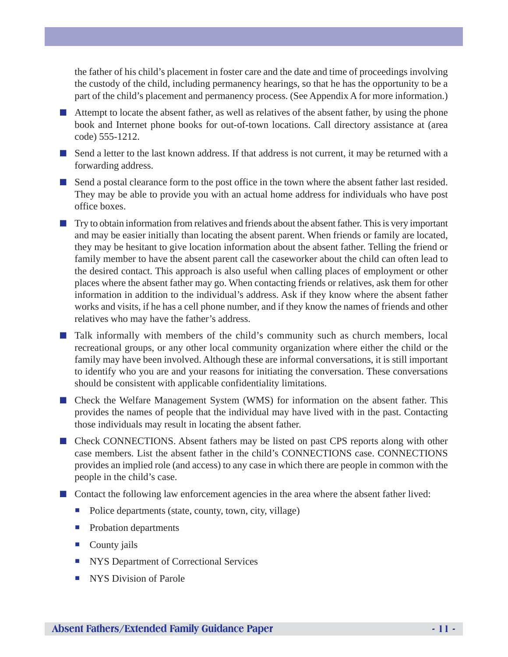the father of his child's placement in foster care and the date and time of proceedings involving the custody of the child, including permanency hearings, so that he has the opportunity to be a part of the child's placement and permanency process. (See Appendix A for more information.)

- Attempt to locate the absent father, as well as relatives of the absent father, by using the phone book and Internet phone books for out-of-town locations. Call directory assistance at (area code) 555-1212.
- Send a letter to the last known address. If that address is not current, it may be returned with a forwarding address.
- Send a postal clearance form to the post office in the town where the absent father last resided. They may be able to provide you with an actual home address for individuals who have post office boxes.
- Try to obtain information from relatives and friends about the absent father. This is very important and may be easier initially than locating the absent parent. When friends or family are located, they may be hesitant to give location information about the absent father. Telling the friend or family member to have the absent parent call the caseworker about the child can often lead to the desired contact. This approach is also useful when calling places of employment or other places where the absent father may go. When contacting friends or relatives, ask them for other information in addition to the individual's address. Ask if they know where the absent father works and visits, if he has a cell phone number, and if they know the names of friends and other relatives who may have the father's address.
- Talk informally with members of the child's community such as church members, local recreational groups, or any other local community organization where either the child or the family may have been involved. Although these are informal conversations, it is still important to identify who you are and your reasons for initiating the conversation. These conversations should be consistent with applicable confidentiality limitations.
- Check the Welfare Management System (WMS) for information on the absent father. This provides the names of people that the individual may have lived with in the past. Contacting those individuals may result in locating the absent father.
- Check CONNECTIONS. Absent fathers may be listed on past CPS reports along with other case members. List the absent father in the child's CONNECTIONS case. CONNECTIONS provides an implied role (and access) to any case in which there are people in common with the people in the child's case.
- Contact the following law enforcement agencies in the area where the absent father lived:
	- Police departments (state, county, town, city, village)
	- **Probation departments**
	- $\blacksquare$  County jails
	- **INYS Department of Correctional Services**
	- **NYS** Division of Parole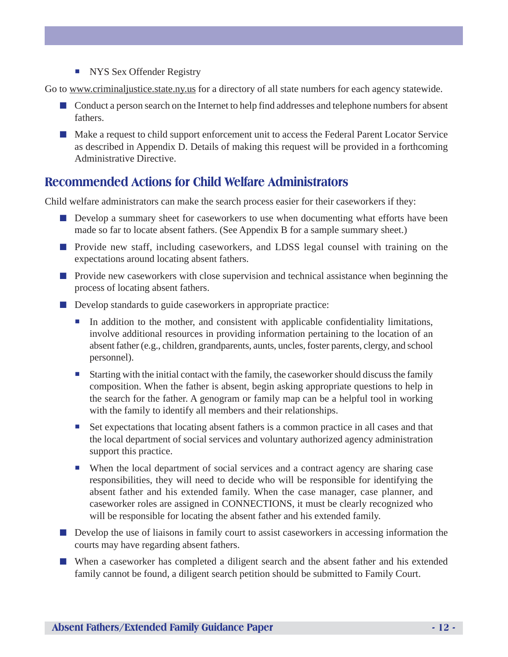**NYS Sex Offender Registry** 

Go to www.criminaljustice.state.ny.us for a directory of all state numbers for each agency statewide.

- Conduct a person search on the Internet to help find addresses and telephone numbers for absent fathers.
- Make a request to child support enforcement unit to access the Federal Parent Locator Service as described in Appendix D. Details of making this request will be provided in a forthcoming Administrative Directive.

## **Recommended Actions for Child Welfare Administrators**

Child welfare administrators can make the search process easier for their caseworkers if they:

- Develop a summary sheet for caseworkers to use when documenting what efforts have been made so far to locate absent fathers. (See Appendix B for a sample summary sheet.)
- Provide new staff, including caseworkers, and LDSS legal counsel with training on the expectations around locating absent fathers.
- Provide new caseworkers with close supervision and technical assistance when beginning the process of locating absent fathers.
- Develop standards to guide caseworkers in appropriate practice:
	- ! In addition to the mother, and consistent with applicable confidentiality limitations, involve additional resources in providing information pertaining to the location of an absent father (e.g., children, grandparents, aunts, uncles, foster parents, clergy, and school personnel).
	- ! Starting with the initial contact with the family, the caseworker should discuss the family composition. When the father is absent, begin asking appropriate questions to help in the search for the father. A genogram or family map can be a helpful tool in working with the family to identify all members and their relationships.
	- ! Set expectations that locating absent fathers is a common practice in all cases and that the local department of social services and voluntary authorized agency administration support this practice.
	- ! When the local department of social services and a contract agency are sharing case responsibilities, they will need to decide who will be responsible for identifying the absent father and his extended family. When the case manager, case planner, and caseworker roles are assigned in CONNECTIONS, it must be clearly recognized who will be responsible for locating the absent father and his extended family.
- Develop the use of liaisons in family court to assist caseworkers in accessing information the courts may have regarding absent fathers.
- When a caseworker has completed a diligent search and the absent father and his extended family cannot be found, a diligent search petition should be submitted to Family Court.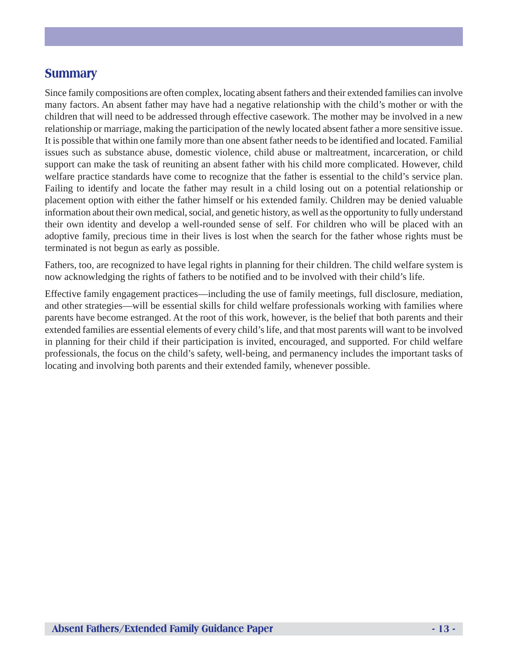### **Summary**

Since family compositions are often complex, locating absent fathers and their extended families can involve many factors. An absent father may have had a negative relationship with the child's mother or with the children that will need to be addressed through effective casework. The mother may be involved in a new relationship or marriage, making the participation of the newly located absent father a more sensitive issue. It is possible that within one family more than one absent father needs to be identified and located. Familial issues such as substance abuse, domestic violence, child abuse or maltreatment, incarceration, or child support can make the task of reuniting an absent father with his child more complicated. However, child welfare practice standards have come to recognize that the father is essential to the child's service plan. Failing to identify and locate the father may result in a child losing out on a potential relationship or placement option with either the father himself or his extended family. Children may be denied valuable information about their own medical, social, and genetic history, as well as the opportunity to fully understand their own identity and develop a well-rounded sense of self. For children who will be placed with an adoptive family, precious time in their lives is lost when the search for the father whose rights must be terminated is not begun as early as possible.

Fathers, too, are recognized to have legal rights in planning for their children. The child welfare system is now acknowledging the rights of fathers to be notified and to be involved with their child's life.

Effective family engagement practices—including the use of family meetings, full disclosure, mediation, and other strategies—will be essential skills for child welfare professionals working with families where parents have become estranged. At the root of this work, however, is the belief that both parents and their extended families are essential elements of every child's life, and that most parents will want to be involved in planning for their child if their participation is invited, encouraged, and supported. For child welfare professionals, the focus on the child's safety, well-being, and permanency includes the important tasks of locating and involving both parents and their extended family, whenever possible.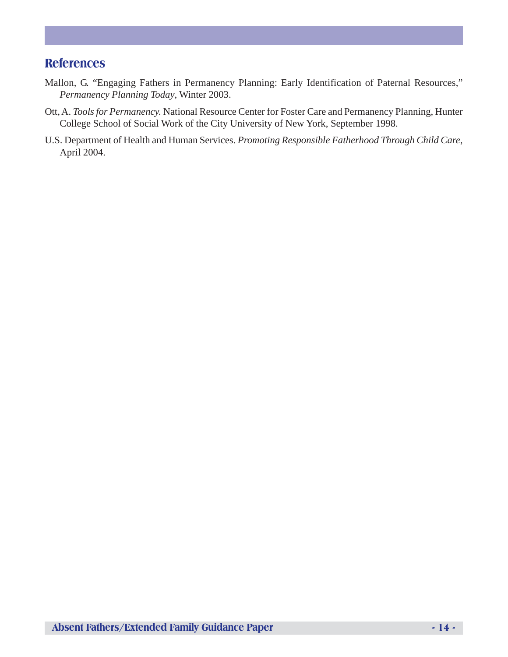## **References**

- Mallon, G. "Engaging Fathers in Permanency Planning: Early Identification of Paternal Resources," *Permanency Planning Today*, Winter 2003.
- Ott, A. *Tools for Permanency.* National Resource Center for Foster Care and Permanency Planning, Hunter College School of Social Work of the City University of New York, September 1998.
- U.S. Department of Health and Human Services. *Promoting Responsible Fatherhood Through Child Care*, April 2004.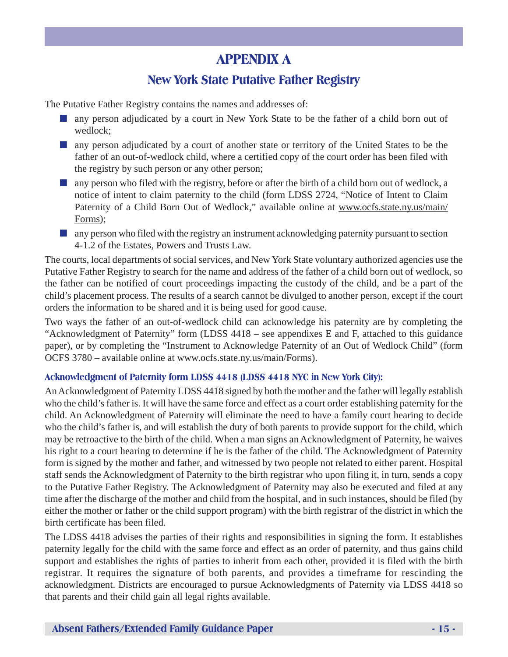# **APPENDIX A**

# **New York State Putative Father Registry**

The Putative Father Registry contains the names and addresses of:

- any person adjudicated by a court in New York State to be the father of a child born out of wedlock;
- any person adjudicated by a court of another state or territory of the United States to be the father of an out-of-wedlock child, where a certified copy of the court order has been filed with the registry by such person or any other person;
- any person who filed with the registry, before or after the birth of a child born out of wedlock, a notice of intent to claim paternity to the child (form LDSS 2724, "Notice of Intent to Claim Paternity of a Child Born Out of Wedlock," available online at www.ocfs.state.ny.us/main/ Forms);
- any person who filed with the registry an instrument acknowledging paternity pursuant to section 4-1.2 of the Estates, Powers and Trusts Law.

The courts, local departments of social services, and New York State voluntary authorized agencies use the Putative Father Registry to search for the name and address of the father of a child born out of wedlock, so the father can be notified of court proceedings impacting the custody of the child, and be a part of the child's placement process. The results of a search cannot be divulged to another person, except if the court orders the information to be shared and it is being used for good cause.

Two ways the father of an out-of-wedlock child can acknowledge his paternity are by completing the "Acknowledgment of Paternity" form (LDSS 4418 – see appendixes E and F, attached to this guidance paper), or by completing the "Instrument to Acknowledge Paternity of an Out of Wedlock Child" (form OCFS 3780 – available online at www.ocfs.state.ny.us/main/Forms).

#### **Acknowledgment of Paternity form LDSS 4418 (LDSS 4418 NYC in New York City):**

An Acknowledgment of Paternity LDSS 4418 signed by both the mother and the father will legally establish who the child's father is. It will have the same force and effect as a court order establishing paternity for the child. An Acknowledgment of Paternity will eliminate the need to have a family court hearing to decide who the child's father is, and will establish the duty of both parents to provide support for the child, which may be retroactive to the birth of the child. When a man signs an Acknowledgment of Paternity, he waives his right to a court hearing to determine if he is the father of the child. The Acknowledgment of Paternity form is signed by the mother and father, and witnessed by two people not related to either parent. Hospital staff sends the Acknowledgment of Paternity to the birth registrar who upon filing it, in turn, sends a copy to the Putative Father Registry. The Acknowledgment of Paternity may also be executed and filed at any time after the discharge of the mother and child from the hospital, and in such instances, should be filed (by either the mother or father or the child support program) with the birth registrar of the district in which the birth certificate has been filed.

The LDSS 4418 advises the parties of their rights and responsibilities in signing the form. It establishes paternity legally for the child with the same force and effect as an order of paternity, and thus gains child support and establishes the rights of parties to inherit from each other, provided it is filed with the birth registrar. It requires the signature of both parents, and provides a timeframe for rescinding the acknowledgment. Districts are encouraged to pursue Acknowledgments of Paternity via LDSS 4418 so that parents and their child gain all legal rights available.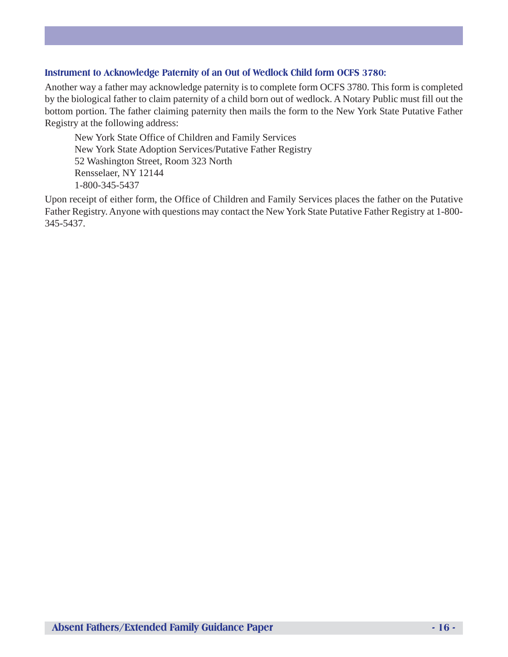#### **Instrument to Acknowledge Paternity of an Out of Wedlock Child form OCFS 3780:**

Another way a father may acknowledge paternity is to complete form OCFS 3780. This form is completed by the biological father to claim paternity of a child born out of wedlock. A Notary Public must fill out the bottom portion. The father claiming paternity then mails the form to the New York State Putative Father Registry at the following address:

New York State Office of Children and Family Services New York State Adoption Services/Putative Father Registry 52 Washington Street, Room 323 North Rensselaer, NY 12144 1-800-345-5437

Upon receipt of either form, the Office of Children and Family Services places the father on the Putative Father Registry. Anyone with questions may contact the New York State Putative Father Registry at 1-800- 345-5437.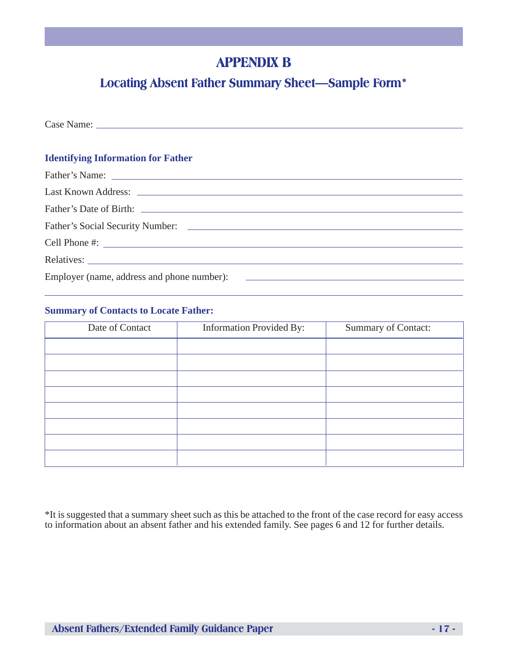# **APPENDIX B**

# **Locating Absent Father Summary Sheet—Sample Form\***

Case Name: **Identifying Information for Father** Father's Name: <u>with the contract of the contract of the contract of the contract of the contract of the contract of the contract of the contract of the contract of the contract of the contract of the contract of the contr</u> Last Known Address: Father's Date of Birth: Father's Social Security Number: 2008. The Social Security Number: 2008. The Social Security Number: 2008. The Social Security Number: 2008. The Social Security Number: 2008. The Social Security Number: 2008. The Social Se Cell Phone #: Relatives: Employer (name, address and phone number):

#### **Summary of Contacts to Locate Father:**

| Date of Contact | <b>Information Provided By:</b> | Summary of Contact: |  |
|-----------------|---------------------------------|---------------------|--|
|                 |                                 |                     |  |
|                 |                                 |                     |  |
|                 |                                 |                     |  |
|                 |                                 |                     |  |
|                 |                                 |                     |  |
|                 |                                 |                     |  |
|                 |                                 |                     |  |
|                 |                                 |                     |  |

\*It is suggested that a summary sheet such as this be attached to the front of the case record for easy access to information about an absent father and his extended family. See pages 6 and 12 for further details.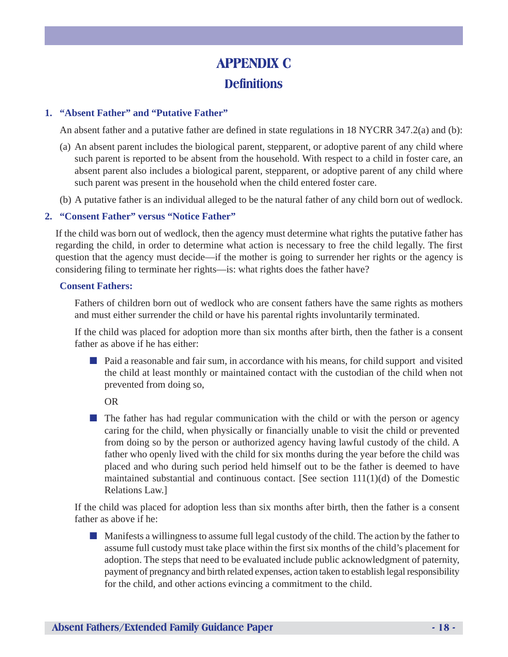# **APPENDIX C Definitions**

#### **1. "Absent Father" and "Putative Father"**

An absent father and a putative father are defined in state regulations in 18 NYCRR 347.2(a) and (b):

- (a) An absent parent includes the biological parent, stepparent, or adoptive parent of any child where such parent is reported to be absent from the household. With respect to a child in foster care, an absent parent also includes a biological parent, stepparent, or adoptive parent of any child where such parent was present in the household when the child entered foster care.
- (b) A putative father is an individual alleged to be the natural father of any child born out of wedlock.

#### **2. "Consent Father" versus "Notice Father"**

If the child was born out of wedlock, then the agency must determine what rights the putative father has regarding the child, in order to determine what action is necessary to free the child legally. The first question that the agency must decide—if the mother is going to surrender her rights or the agency is considering filing to terminate her rights—is: what rights does the father have?

#### **Consent Fathers:**

Fathers of children born out of wedlock who are consent fathers have the same rights as mothers and must either surrender the child or have his parental rights involuntarily terminated.

If the child was placed for adoption more than six months after birth, then the father is a consent father as above if he has either:

■ Paid a reasonable and fair sum, in accordance with his means, for child support and visited the child at least monthly or maintained contact with the custodian of the child when not prevented from doing so,

OR

■ The father has had regular communication with the child or with the person or agency caring for the child, when physically or financially unable to visit the child or prevented from doing so by the person or authorized agency having lawful custody of the child. A father who openly lived with the child for six months during the year before the child was placed and who during such period held himself out to be the father is deemed to have maintained substantial and continuous contact. [See section 111(1)(d) of the Domestic Relations Law.]

If the child was placed for adoption less than six months after birth, then the father is a consent father as above if he:

■ Manifests a willingness to assume full legal custody of the child. The action by the father to assume full custody must take place within the first six months of the child's placement for adoption. The steps that need to be evaluated include public acknowledgment of paternity, payment of pregnancy and birth related expenses, action taken to establish legal responsibility for the child, and other actions evincing a commitment to the child.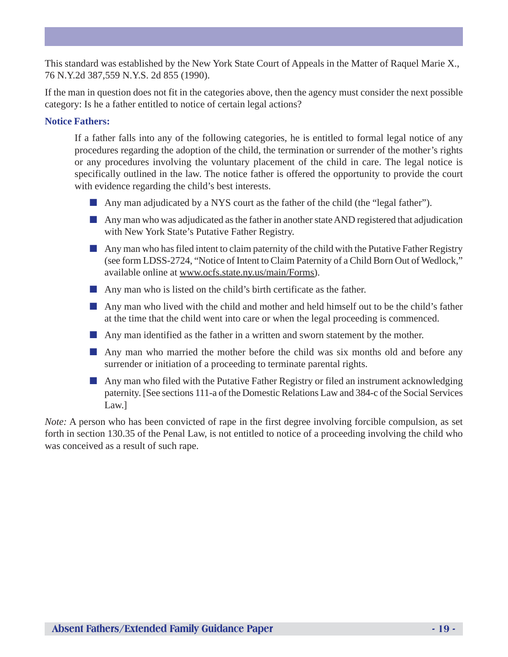This standard was established by the New York State Court of Appeals in the Matter of Raquel Marie X., 76 N.Y.2d 387,559 N.Y.S. 2d 855 (1990).

If the man in question does not fit in the categories above, then the agency must consider the next possible category: Is he a father entitled to notice of certain legal actions?

#### **Notice Fathers:**

If a father falls into any of the following categories, he is entitled to formal legal notice of any procedures regarding the adoption of the child, the termination or surrender of the mother's rights or any procedures involving the voluntary placement of the child in care. The legal notice is specifically outlined in the law. The notice father is offered the opportunity to provide the court with evidence regarding the child's best interests.

- Any man adjudicated by a NYS court as the father of the child (the "legal father").
- Any man who was adjudicated as the father in another state AND registered that adjudication with New York State's Putative Father Registry.
- Any man who has filed intent to claim paternity of the child with the Putative Father Registry (see form LDSS-2724, "Notice of Intent to Claim Paternity of a Child Born Out of Wedlock," available online at www.ocfs.state.ny.us/main/Forms).
- Any man who is listed on the child's birth certificate as the father.
- Any man who lived with the child and mother and held himself out to be the child's father at the time that the child went into care or when the legal proceeding is commenced.
- Any man identified as the father in a written and sworn statement by the mother.
- Any man who married the mother before the child was six months old and before any surrender or initiation of a proceeding to terminate parental rights.
- Any man who filed with the Putative Father Registry or filed an instrument acknowledging paternity. [See sections 111-a of the Domestic Relations Law and 384-c of the Social Services Law.]

*Note:* A person who has been convicted of rape in the first degree involving forcible compulsion, as set forth in section 130.35 of the Penal Law, is not entitled to notice of a proceeding involving the child who was conceived as a result of such rape.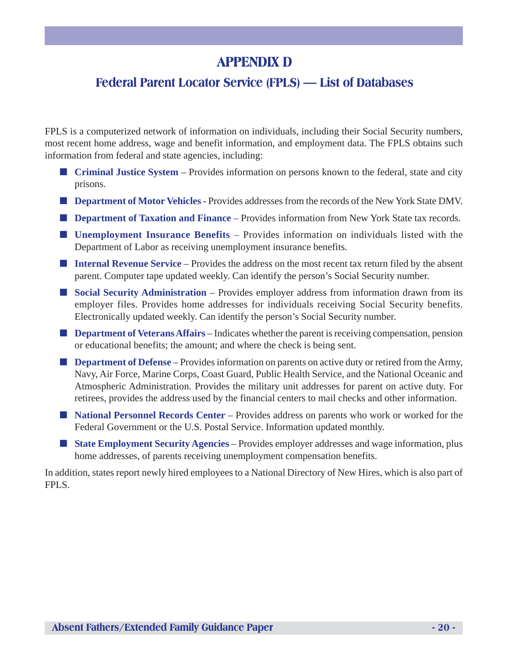# **APPENDIX D**

# **Federal Parent Locator Service (FPLS) — List of Databases**

FPLS is a computerized network of information on individuals, including their Social Security numbers, most recent home address, wage and benefit information, and employment data. The FPLS obtains such information from federal and state agencies, including:

- **Criminal Justice System** Provides information on persons known to the federal, state and city prisons.
- **Department of Motor Vehicles** Provides addresses from the records of the New York State DMV.
- **Department of Taxation and Finance** Provides information from New York State tax records.
- **Unemployment Insurance Benefits** Provides information on individuals listed with the Department of Labor as receiving unemployment insurance benefits.
- **Internal Revenue Service** Provides the address on the most recent tax return filed by the absent parent. Computer tape updated weekly. Can identify the person's Social Security number.
- **Social Security Administration** Provides employer address from information drawn from its employer files. Provides home addresses for individuals receiving Social Security benefits. Electronically updated weekly. Can identify the person's Social Security number.
- **Department of Veterans Affairs** Indicates whether the parent is receiving compensation, pension or educational benefits; the amount; and where the check is being sent.
- **Department of Defense** Provides information on parents on active duty or retired from the Army, Navy, Air Force, Marine Corps, Coast Guard, Public Health Service, and the National Oceanic and Atmospheric Administration. Provides the military unit addresses for parent on active duty. For retirees, provides the address used by the financial centers to mail checks and other information.
- **National Personnel Records Center** Provides address on parents who work or worked for the Federal Government or the U.S. Postal Service. Information updated monthly.
- **State Employment Security Agencies** Provides employer addresses and wage information, plus home addresses, of parents receiving unemployment compensation benefits.

In addition, states report newly hired employees to a National Directory of New Hires, which is also part of FPLS.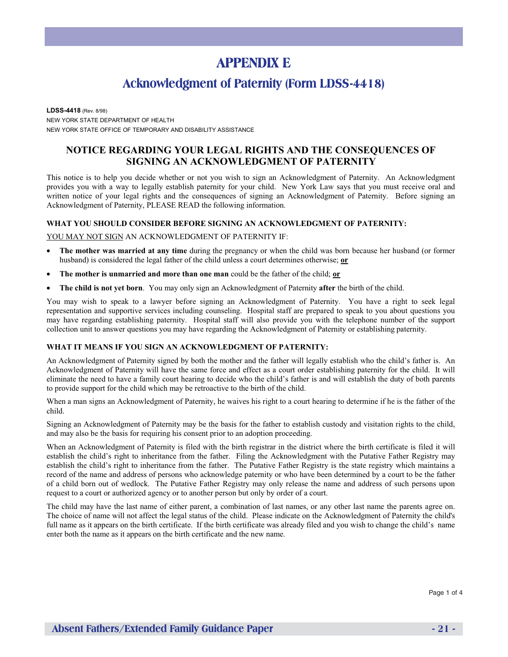# **APPENDIX E**

## **Acknowledgment of Paternity (Form LDSS-4418)**

**LDSS-4418** (Rev. 8/98) NEW YORK STATE DEPARTMENT OF HEALTH NEW YORK STATE OFFICE OF TEMPORARY AND DISABILITY ASSISTANCE

#### **NOTICE REGARDING YOUR LEGAL RIGHTS AND THE CONSEQUENCES OF SIGNING AN ACKNOWLEDGMENT OF PATERNITY**

This notice is to help you decide whether or not you wish to sign an Acknowledgment of Paternity. An Acknowledgment provides you with a way to legally establish paternity for your child. New York Law says that you must receive oral and written notice of your legal rights and the consequences of signing an Acknowledgment of Paternity. Before signing an Acknowledgment of Paternity, PLEASE READ the following information.

#### **WHAT YOU SHOULD CONSIDER BEFORE SIGNING AN ACKNOWLEDGMENT OF PATERNITY:**

#### YOU MAY NOT SIGN AN ACKNOWLEDGMENT OF PATERNITY IF:

- **The mother was married at any time** during the pregnancy or when the child was born because her husband (or former husband) is considered the legal father of the child unless a court determines otherwise; **or**
- **The mother is unmarried and more than one man** could be the father of the child; **or**
- **The child is not yet born**. You may only sign an Acknowledgment of Paternity **after** the birth of the child.

You may wish to speak to a lawyer before signing an Acknowledgment of Paternity. You have a right to seek legal representation and supportive services including counseling. Hospital staff are prepared to speak to you about questions you may have regarding establishing paternity. Hospital staff will also provide you with the telephone number of the support collection unit to answer questions you may have regarding the Acknowledgment of Paternity or establishing paternity.

#### **WHAT IT MEANS IF YOU SIGN AN ACKNOWLEDGMENT OF PATERNITY:**

An Acknowledgment of Paternity signed by both the mother and the father will legally establish who the child's father is. An Acknowledgment of Paternity will have the same force and effect as a court order establishing paternity for the child. It will eliminate the need to have a family court hearing to decide who the child's father is and will establish the duty of both parents to provide support for the child which may be retroactive to the birth of the child.

When a man signs an Acknowledgment of Paternity, he waives his right to a court hearing to determine if he is the father of the child.

Signing an Acknowledgment of Paternity may be the basis for the father to establish custody and visitation rights to the child, and may also be the basis for requiring his consent prior to an adoption proceeding.

When an Acknowledgment of Paternity is filed with the birth registrar in the district where the birth certificate is filed it will establish the child's right to inheritance from the father. Filing the Acknowledgment with the Putative Father Registry may establish the child's right to inheritance from the father. The Putative Father Registry is the state registry which maintains a record of the name and address of persons who acknowledge paternity or who have been determined by a court to be the father of a child born out of wedlock. The Putative Father Registry may only release the name and address of such persons upon request to a court or authorized agency or to another person but only by order of a court.

The child may have the last name of either parent, a combination of last names, or any other last name the parents agree on. The choice of name will not affect the legal status of the child. Please indicate on the Acknowledgment of Paternity the child's full name as it appears on the birth certificate. If the birth certificate was already filed and you wish to change the child's name enter both the name as it appears on the birth certificate and the new name.

Page 1 of 4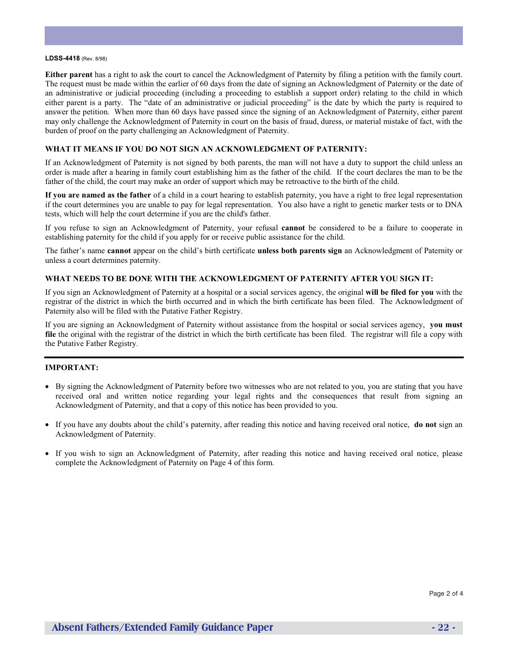#### **LDSS-4418** (Rev. 8/98)

**Either parent** has a right to ask the court to cancel the Acknowledgment of Paternity by filing a petition with the family court. The request must be made within the earlier of 60 days from the date of signing an Acknowledgment of Paternity or the date of an administrative or judicial proceeding (including a proceeding to establish a support order) relating to the child in which either parent is a party. The "date of an administrative or judicial proceeding" is the date by which the party is required to answer the petition. When more than 60 days have passed since the signing of an Acknowledgment of Paternity, either parent may only challenge the Acknowledgment of Paternity in court on the basis of fraud, duress, or material mistake of fact, with the burden of proof on the party challenging an Acknowledgment of Paternity.

#### **WHAT IT MEANS IF YOU DO NOT SIGN AN ACKNOWLEDGMENT OF PATERNITY:**

If an Acknowledgment of Paternity is not signed by both parents, the man will not have a duty to support the child unless an order is made after a hearing in family court establishing him as the father of the child. If the court declares the man to be the father of the child, the court may make an order of support which may be retroactive to the birth of the child.

**If you are named as the father** of a child in a court hearing to establish paternity, you have a right to free legal representation if the court determines you are unable to pay for legal representation. You also have a right to genetic marker tests or to DNA tests, which will help the court determine if you are the child's father.

If you refuse to sign an Acknowledgment of Paternity, your refusal **cannot** be considered to be a failure to cooperate in establishing paternity for the child if you apply for or receive public assistance for the child.

The father's name **cannot** appear on the child's birth certificate **unless both parents sign** an Acknowledgment of Paternity or unless a court determines paternity.

#### **WHAT NEEDS TO BE DONE WITH THE ACKNOWLEDGMENT OF PATERNITY AFTER YOU SIGN IT:**

If you sign an Acknowledgment of Paternity at a hospital or a social services agency, the original **will be filed for you** with the registrar of the district in which the birth occurred and in which the birth certificate has been filed. The Acknowledgment of Paternity also will be filed with the Putative Father Registry.

If you are signing an Acknowledgment of Paternity without assistance from the hospital or social services agency, **you must file** the original with the registrar of the district in which the birth certificate has been filed. The registrar will file a copy with the Putative Father Registry.

#### **IMPORTANT:**

- By signing the Acknowledgment of Paternity before two witnesses who are not related to you, you are stating that you have received oral and written notice regarding your legal rights and the consequences that result from signing an Acknowledgment of Paternity, and that a copy of this notice has been provided to you.
- If you have any doubts about the child's paternity, after reading this notice and having received oral notice, **do not** sign an Acknowledgment of Paternity.
- If you wish to sign an Acknowledgment of Paternity, after reading this notice and having received oral notice, please complete the Acknowledgment of Paternity on Page 4 of this form.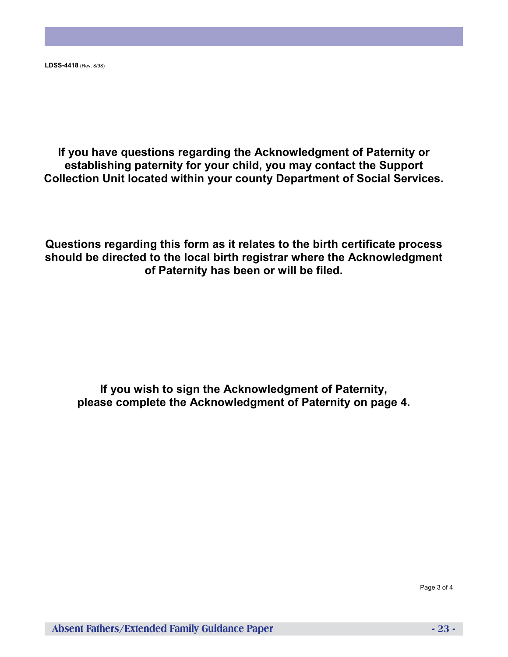**LDSS-4418** (Rev. 8/98)

**If you have questions regarding the Acknowledgment of Paternity or establishing paternity for your child, you may contact the Support Collection Unit located within your county Department of Social Services.**

**Questions regarding this form as it relates to the birth certificate process should be directed to the local birth registrar where the Acknowledgment of Paternity has been or will be filed.**

**If you wish to sign the Acknowledgment of Paternity, please complete the Acknowledgment of Paternity on page 4.**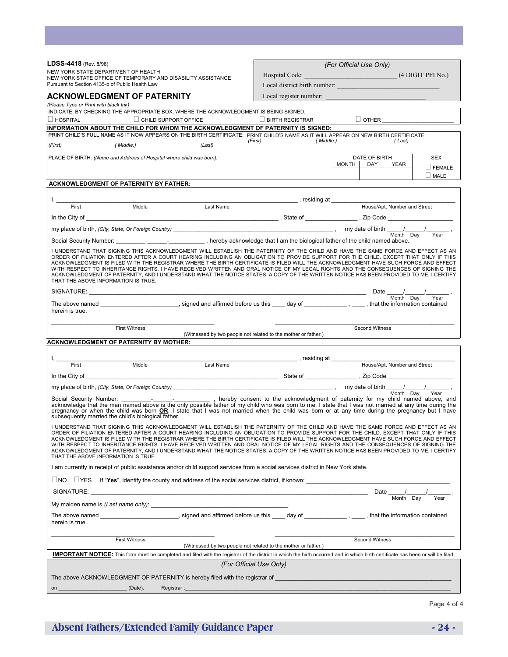| LDSS-4418 (Rev. 8/98)                                                                                                                                                                                                                                                                                                                                                                                                                                                                                                                                                                                                                                                                                                               |                             |                              |                                                                                                                                                                                                                                   | (For Official Use Only)              |                                                |
|-------------------------------------------------------------------------------------------------------------------------------------------------------------------------------------------------------------------------------------------------------------------------------------------------------------------------------------------------------------------------------------------------------------------------------------------------------------------------------------------------------------------------------------------------------------------------------------------------------------------------------------------------------------------------------------------------------------------------------------|-----------------------------|------------------------------|-----------------------------------------------------------------------------------------------------------------------------------------------------------------------------------------------------------------------------------|--------------------------------------|------------------------------------------------|
| NEW YORK STATE DEPARTMENT OF HEALTH                                                                                                                                                                                                                                                                                                                                                                                                                                                                                                                                                                                                                                                                                                 |                             |                              | Hospital Code:                                                                                                                                                                                                                    |                                      | (4 DIGIT PFI No.)                              |
| NEW YORK STATE OFFICE OF TEMPORARY AND DISABILITY ASSISTANCE<br>Pursuant to Section 4135-b of Public Health Law                                                                                                                                                                                                                                                                                                                                                                                                                                                                                                                                                                                                                     |                             | Local district birth number: |                                                                                                                                                                                                                                   |                                      |                                                |
|                                                                                                                                                                                                                                                                                                                                                                                                                                                                                                                                                                                                                                                                                                                                     |                             |                              |                                                                                                                                                                                                                                   |                                      |                                                |
| <b>ACKNOWLEDGMENT OF PATERNITY</b>                                                                                                                                                                                                                                                                                                                                                                                                                                                                                                                                                                                                                                                                                                  |                             |                              | Local register number:                                                                                                                                                                                                            |                                      |                                                |
| (Please Type or Print with black Ink)<br>INDICATE, BY CHECKING THE APPROPRIATE BOX, WHERE THE ACKNOWLEDGMENT IS BEING SIGNED:                                                                                                                                                                                                                                                                                                                                                                                                                                                                                                                                                                                                       |                             |                              |                                                                                                                                                                                                                                   |                                      |                                                |
| $\Box$ HOSPITAL                                                                                                                                                                                                                                                                                                                                                                                                                                                                                                                                                                                                                                                                                                                     | $\Box$ CHILD SUPPORT OFFICE |                              | $\Box$ BIRTH REGISTRAR                                                                                                                                                                                                            | $\Box$ OTHER                         |                                                |
|                                                                                                                                                                                                                                                                                                                                                                                                                                                                                                                                                                                                                                                                                                                                     |                             |                              | INFORMATION ABOUT THE CHILD FOR WHOM THE ACKNOWLEDGMENT OF PATERNITY IS SIGNED:                                                                                                                                                   |                                      |                                                |
|                                                                                                                                                                                                                                                                                                                                                                                                                                                                                                                                                                                                                                                                                                                                     |                             |                              | PRINT CHILD'S FULL NAME AS IT NOW APPEARS ON THE BIRTH CERTIFICATE: PRINT CHILD'S NAME AS IT WILL APPEAR ON NEW BIRTH CERTIFICATE:<br>(First)<br>(Middle.)                                                                        |                                      | (Last)                                         |
| (First)                                                                                                                                                                                                                                                                                                                                                                                                                                                                                                                                                                                                                                                                                                                             | (Middle.)                   | (Last)                       |                                                                                                                                                                                                                                   |                                      |                                                |
| PLACE OF BIRTH: (Name and Address of Hospital where child was born):                                                                                                                                                                                                                                                                                                                                                                                                                                                                                                                                                                                                                                                                |                             |                              |                                                                                                                                                                                                                                   | DATE OF BIRTH<br><b>MONTH</b><br>DAY | <b>SEX</b><br><b>YEAR</b>                      |
|                                                                                                                                                                                                                                                                                                                                                                                                                                                                                                                                                                                                                                                                                                                                     |                             |                              |                                                                                                                                                                                                                                   |                                      | $\Box$ FEMALE                                  |
|                                                                                                                                                                                                                                                                                                                                                                                                                                                                                                                                                                                                                                                                                                                                     |                             |                              |                                                                                                                                                                                                                                   |                                      | $\Box$ MALE                                    |
| <b>ACKNOWLEDGMENT OF PATERNITY BY FATHER:</b>                                                                                                                                                                                                                                                                                                                                                                                                                                                                                                                                                                                                                                                                                       |                             |                              |                                                                                                                                                                                                                                   |                                      |                                                |
|                                                                                                                                                                                                                                                                                                                                                                                                                                                                                                                                                                                                                                                                                                                                     |                             |                              | _______________________,residing at _________                                                                                                                                                                                     |                                      |                                                |
| First                                                                                                                                                                                                                                                                                                                                                                                                                                                                                                                                                                                                                                                                                                                               | Middle                      | Last Name                    |                                                                                                                                                                                                                                   |                                      | House/Apt. Number and Street                   |
|                                                                                                                                                                                                                                                                                                                                                                                                                                                                                                                                                                                                                                                                                                                                     |                             |                              |                                                                                                                                                                                                                                   |                                      |                                                |
|                                                                                                                                                                                                                                                                                                                                                                                                                                                                                                                                                                                                                                                                                                                                     |                             |                              |                                                                                                                                                                                                                                   |                                      |                                                |
|                                                                                                                                                                                                                                                                                                                                                                                                                                                                                                                                                                                                                                                                                                                                     |                             |                              | my place of birth, (City, State, Or Foreign Country) ____________, hereby acknowledge that I am the biological father of the child named above.<br>Social Security Number: ___________________________, hereby acknowledge that I |                                      | Year                                           |
|                                                                                                                                                                                                                                                                                                                                                                                                                                                                                                                                                                                                                                                                                                                                     |                             |                              |                                                                                                                                                                                                                                   |                                      |                                                |
| I UNDERSTAND THAT SIGNING THIS ACKNOWLEDGMENT WILL ESTABLISH THE PATERNITY OF THE CHILD AND HAVE THE SAME FORCE AND EFFECT AS AN<br>ORDER OF FILIATION ENTERED AFTER A COURT HEARING INCLUDING AN OBLIGATION TO PROVIDE SUPPORT FOR THE CHILD. EXCEPT THAT ONLY IF THIS<br>ACKNOWLEDGMENT IS FILED WITH THE REGISTRAR WHERE THE BIRTH CERTIFICATE IS FILED WILL THE ACKNOWLEDGMENT HAVE SUCH FORCE AND EFFECT<br>WITH RESPECT TO INHERITANCE RIGHTS. I HAVE RECEIVED WRITTEN AND ORAL NOTICE OF MY LEGAL RIGHTS AND THE CONSEQUENCES OF SIGNING THE<br>ACKNOWLEDGMENT OF PATERNITY, AND I UNDERSTAND WHAT THE NOTICE STATES. A COPY OF THE WRITTEN NOTICE HAS BEEN PROVIDED TO ME. I CERTIFY<br>THAT THE ABOVE INFORMATION IS TRUE. |                             |                              |                                                                                                                                                                                                                                   |                                      |                                                |
|                                                                                                                                                                                                                                                                                                                                                                                                                                                                                                                                                                                                                                                                                                                                     |                             |                              | SIGNATURE: <u>North Day</u>                                                                                                                                                                                                       |                                      |                                                |
| herein is true.                                                                                                                                                                                                                                                                                                                                                                                                                                                                                                                                                                                                                                                                                                                     |                             |                              |                                                                                                                                                                                                                                   |                                      |                                                |
|                                                                                                                                                                                                                                                                                                                                                                                                                                                                                                                                                                                                                                                                                                                                     |                             |                              |                                                                                                                                                                                                                                   |                                      |                                                |
|                                                                                                                                                                                                                                                                                                                                                                                                                                                                                                                                                                                                                                                                                                                                     | <b>First Witness</b>        |                              |                                                                                                                                                                                                                                   | Second Witness                       |                                                |
|                                                                                                                                                                                                                                                                                                                                                                                                                                                                                                                                                                                                                                                                                                                                     |                             |                              | (Witnessed by two people not related to the mother or father.)                                                                                                                                                                    |                                      |                                                |
| <b>ACKNOWLEDGMENT OF PATERNITY BY MOTHER:</b>                                                                                                                                                                                                                                                                                                                                                                                                                                                                                                                                                                                                                                                                                       |                             |                              |                                                                                                                                                                                                                                   |                                      |                                                |
|                                                                                                                                                                                                                                                                                                                                                                                                                                                                                                                                                                                                                                                                                                                                     |                             |                              |                                                                                                                                                                                                                                   |                                      |                                                |
| First                                                                                                                                                                                                                                                                                                                                                                                                                                                                                                                                                                                                                                                                                                                               | Middle                      | Last Name                    |                                                                                                                                                                                                                                   |                                      | House/Apt. Number and Street                   |
| In the City of                                                                                                                                                                                                                                                                                                                                                                                                                                                                                                                                                                                                                                                                                                                      |                             |                              |                                                                                                                                                                                                                                   |                                      |                                                |
|                                                                                                                                                                                                                                                                                                                                                                                                                                                                                                                                                                                                                                                                                                                                     |                             |                              |                                                                                                                                                                                                                                   |                                      |                                                |
| my place of birth, (City, State, Or Foreign Country)<br>Social Security Number: The Country of the only possible father of my child who was born to me. I state that I was not married at any time during the<br>acknowledge that th<br>pregnancy or when the child was born OR, I state that I was not married when the child was born or at any time during the pregnancy but I have<br>subsequently married the child's biological father.                                                                                                                                                                                                                                                                                       |                             |                              |                                                                                                                                                                                                                                   |                                      |                                                |
| I UNDERSTAND THAT SIGNING THIS ACKNOWLEDGMENT WILL ESTABLISH THE PATERNITY OF THE CHILD AND HAVE THE SAME FORCE AND EFFECT AS AN<br>ORDER OF FILIATION ENTERED AFTER A COURT HEARING INCLUDING AN OBLIGATION TO PROVIDE SUPPORT FOR THE CHILD. EXCEPT THAT ONLY IF THIS<br>ACKNOWLEDGMENT IS FILED WITH THE REGISTRAR WHERE THE BIRTH CERTIFICATE IS FILED WILL THE ACKNOWLEDGMENT HAVE SUCH FORCE AND EFFECT<br>WITH RESPECT TO INHERITANCE RIGHTS. I HAVE RECEIVED WRITTEN AND ORAL NOTICE OF MY LEGAL RIGHTS AND THE CONSEQUENCES OF SIGNING THE<br>ACKNOWLEDGMENT OF PATERNITY, AND I UNDERSTAND WHAT THE NOTICE STATES. A COPY OF THE WRITTEN NOTICE HAS BEEN PROVIDED TO ME. I CERTIFY<br>THAT THE ABOVE INFORMATION IS TRUE. |                             |                              |                                                                                                                                                                                                                                   |                                      |                                                |
|                                                                                                                                                                                                                                                                                                                                                                                                                                                                                                                                                                                                                                                                                                                                     |                             |                              | I am currently in receipt of public assistance and/or child support services from a social services district in New York state.                                                                                                   |                                      |                                                |
|                                                                                                                                                                                                                                                                                                                                                                                                                                                                                                                                                                                                                                                                                                                                     |                             |                              | $\Box$ NO $\Box$ YES If "Yes", identify the county and address of the social services district, if known:                                                                                                                         |                                      |                                                |
|                                                                                                                                                                                                                                                                                                                                                                                                                                                                                                                                                                                                                                                                                                                                     |                             |                              |                                                                                                                                                                                                                                   |                                      | Date $\frac{1}{\sqrt{\frac{1}{1-\frac{1}{2}}}$ |
|                                                                                                                                                                                                                                                                                                                                                                                                                                                                                                                                                                                                                                                                                                                                     |                             |                              |                                                                                                                                                                                                                                   |                                      |                                                |
| herein is true.                                                                                                                                                                                                                                                                                                                                                                                                                                                                                                                                                                                                                                                                                                                     |                             |                              |                                                                                                                                                                                                                                   |                                      |                                                |
|                                                                                                                                                                                                                                                                                                                                                                                                                                                                                                                                                                                                                                                                                                                                     | <b>First Witness</b>        |                              | (Witnessed by two people not related to the mother or father.)                                                                                                                                                                    | Second Witness                       |                                                |
| IMPORTANT NOTICE: This form must be completed and filed with the registrar of the district in which the birth occurred and in which birth certificate has been or will be filed.                                                                                                                                                                                                                                                                                                                                                                                                                                                                                                                                                    |                             |                              |                                                                                                                                                                                                                                   |                                      |                                                |
|                                                                                                                                                                                                                                                                                                                                                                                                                                                                                                                                                                                                                                                                                                                                     |                             |                              |                                                                                                                                                                                                                                   |                                      |                                                |
|                                                                                                                                                                                                                                                                                                                                                                                                                                                                                                                                                                                                                                                                                                                                     |                             |                              |                                                                                                                                                                                                                                   |                                      |                                                |
|                                                                                                                                                                                                                                                                                                                                                                                                                                                                                                                                                                                                                                                                                                                                     |                             |                              | (For Official Use Only)                                                                                                                                                                                                           |                                      |                                                |
|                                                                                                                                                                                                                                                                                                                                                                                                                                                                                                                                                                                                                                                                                                                                     |                             |                              | The above ACKNOWLEDGMENT OF PATERNITY is hereby filed with the registrar of $\,$                                                                                                                                                  |                                      |                                                |

# **Absent Fathers/Extended Family Guidance Paper - 24 -** 24 -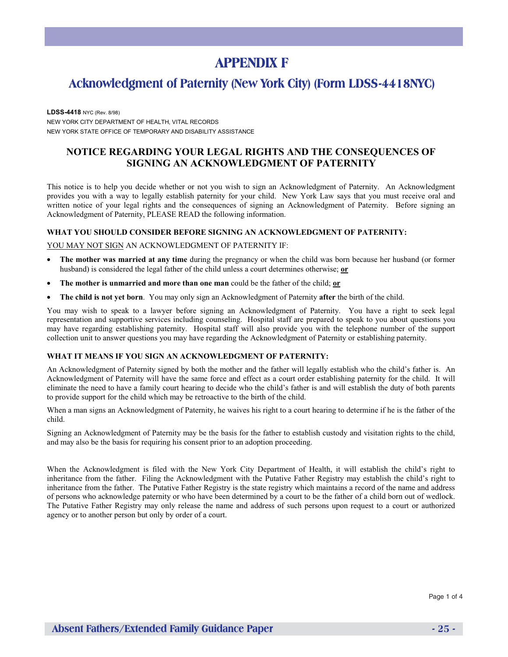# **APPENDIX F**

### **Acknowledgment of Paternity (New York City) (Form LDSS-4418NYC)**

**LDSS-4418** NYC (Rev. 8/98) NEW YORK CITY DEPARTMENT OF HEALTH, VITAL RECORDS NEW YORK STATE OFFICE OF TEMPORARY AND DISABILITY ASSISTANCE

#### **NOTICE REGARDING YOUR LEGAL RIGHTS AND THE CONSEQUENCES OF SIGNING AN ACKNOWLEDGMENT OF PATERNITY**

This notice is to help you decide whether or not you wish to sign an Acknowledgment of Paternity. An Acknowledgment provides you with a way to legally establish paternity for your child. New York Law says that you must receive oral and written notice of your legal rights and the consequences of signing an Acknowledgment of Paternity. Before signing an Acknowledgment of Paternity, PLEASE READ the following information.

#### **WHAT YOU SHOULD CONSIDER BEFORE SIGNING AN ACKNOWLEDGMENT OF PATERNITY:**

YOU MAY NOT SIGN AN ACKNOWLEDGMENT OF PATERNITY IF:

- **The mother was married at any time** during the pregnancy or when the child was born because her husband (or former husband) is considered the legal father of the child unless a court determines otherwise; **or**
- **The mother is unmarried and more than one man** could be the father of the child; **or**
- **The child is not yet born**. You may only sign an Acknowledgment of Paternity **after** the birth of the child.

You may wish to speak to a lawyer before signing an Acknowledgment of Paternity. You have a right to seek legal representation and supportive services including counseling. Hospital staff are prepared to speak to you about questions you may have regarding establishing paternity. Hospital staff will also provide you with the telephone number of the support collection unit to answer questions you may have regarding the Acknowledgment of Paternity or establishing paternity.

#### **WHAT IT MEANS IF YOU SIGN AN ACKNOWLEDGMENT OF PATERNITY:**

An Acknowledgment of Paternity signed by both the mother and the father will legally establish who the child's father is. An Acknowledgment of Paternity will have the same force and effect as a court order establishing paternity for the child. It will eliminate the need to have a family court hearing to decide who the child's father is and will establish the duty of both parents to provide support for the child which may be retroactive to the birth of the child.

When a man signs an Acknowledgment of Paternity, he waives his right to a court hearing to determine if he is the father of the child.

Signing an Acknowledgment of Paternity may be the basis for the father to establish custody and visitation rights to the child, and may also be the basis for requiring his consent prior to an adoption proceeding.

When the Acknowledgment is filed with the New York City Department of Health, it will establish the child's right to inheritance from the father. Filing the Acknowledgment with the Putative Father Registry may establish the child's right to inheritance from the father. The Putative Father Registry is the state registry which maintains a record of the name and address of persons who acknowledge paternity or who have been determined by a court to be the father of a child born out of wedlock. The Putative Father Registry may only release the name and address of such persons upon request to a court or authorized agency or to another person but only by order of a court.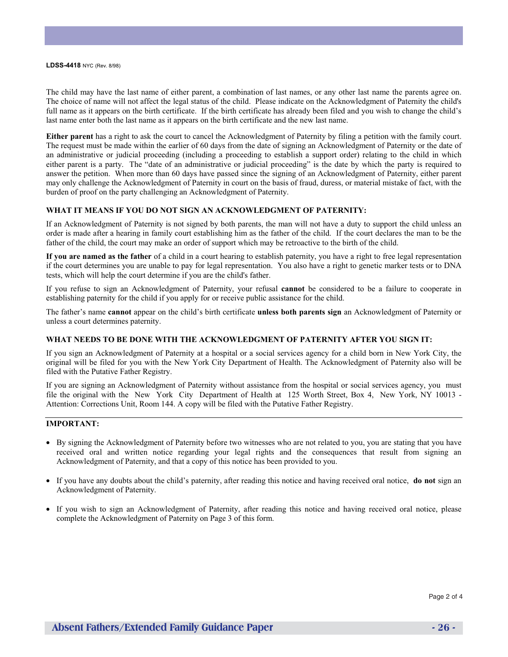**LDSS-4418** NYC (Rev. 8/98)

The child may have the last name of either parent, a combination of last names, or any other last name the parents agree on. The choice of name will not affect the legal status of the child. Please indicate on the Acknowledgment of Paternity the child's full name as it appears on the birth certificate. If the birth certificate has already been filed and you wish to change the child's last name enter both the last name as it appears on the birth certificate and the new last name.

**Either parent** has a right to ask the court to cancel the Acknowledgment of Paternity by filing a petition with the family court. The request must be made within the earlier of 60 days from the date of signing an Acknowledgment of Paternity or the date of an administrative or judicial proceeding (including a proceeding to establish a support order) relating to the child in which either parent is a party. The "date of an administrative or judicial proceeding" is the date by which the party is required to answer the petition. When more than 60 days have passed since the signing of an Acknowledgment of Paternity, either parent may only challenge the Acknowledgment of Paternity in court on the basis of fraud, duress, or material mistake of fact, with the burden of proof on the party challenging an Acknowledgment of Paternity.

#### **WHAT IT MEANS IF YOU DO NOT SIGN AN ACKNOWLEDGMENT OF PATERNITY:**

If an Acknowledgment of Paternity is not signed by both parents, the man will not have a duty to support the child unless an order is made after a hearing in family court establishing him as the father of the child. If the court declares the man to be the father of the child, the court may make an order of support which may be retroactive to the birth of the child.

**If you are named as the father** of a child in a court hearing to establish paternity, you have a right to free legal representation if the court determines you are unable to pay for legal representation. You also have a right to genetic marker tests or to DNA tests, which will help the court determine if you are the child's father.

If you refuse to sign an Acknowledgment of Paternity, your refusal **cannot** be considered to be a failure to cooperate in establishing paternity for the child if you apply for or receive public assistance for the child.

The father's name **cannot** appear on the child's birth certificate **unless both parents sign** an Acknowledgment of Paternity or unless a court determines paternity.

#### **WHAT NEEDS TO BE DONE WITH THE ACKNOWLEDGMENT OF PATERNITY AFTER YOU SIGN IT:**

If you sign an Acknowledgment of Paternity at a hospital or a social services agency for a child born in New York City, the original will be filed for you with the New York City Department of Health. The Acknowledgment of Paternity also will be filed with the Putative Father Registry.

If you are signing an Acknowledgment of Paternity without assistance from the hospital or social services agency, you must file the original with the New York City Department of Health at 125 Worth Street, Box 4, New York, NY 10013 - Attention: Corrections Unit, Room 144. A copy will be filed with the Putative Father Registry.

#### **IMPORTANT:**

- By signing the Acknowledgment of Paternity before two witnesses who are not related to you, you are stating that you have received oral and written notice regarding your legal rights and the consequences that result from signing an Acknowledgment of Paternity, and that a copy of this notice has been provided to you.
- If you have any doubts about the child's paternity, after reading this notice and having received oral notice, **do not** sign an Acknowledgment of Paternity.
- If you wish to sign an Acknowledgment of Paternity, after reading this notice and having received oral notice, please complete the Acknowledgment of Paternity on Page 3 of this form.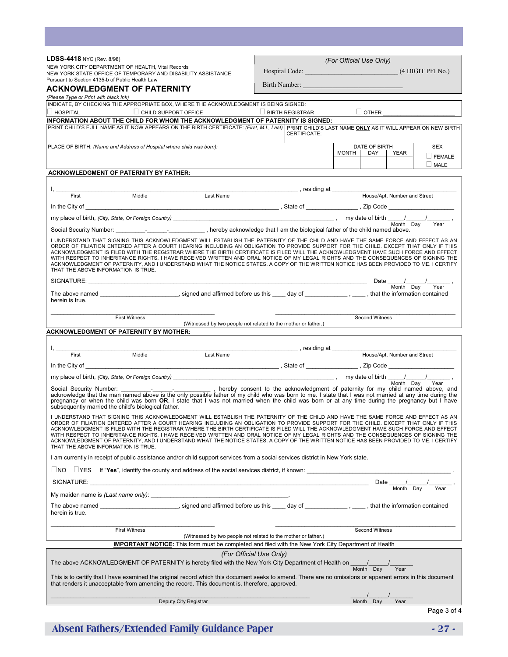| LDSS-4418 NYC (Rev. 8/98)                                                                                                                                                                                                                                                                                                                                                                                                                                                                                                                                                                                                                                                                                                           |                                                                | (For Official Use Only)                                    |  |  |  |
|-------------------------------------------------------------------------------------------------------------------------------------------------------------------------------------------------------------------------------------------------------------------------------------------------------------------------------------------------------------------------------------------------------------------------------------------------------------------------------------------------------------------------------------------------------------------------------------------------------------------------------------------------------------------------------------------------------------------------------------|----------------------------------------------------------------|------------------------------------------------------------|--|--|--|
| NEW YORK CITY DEPARTMENT OF HEALTH, Vital Records<br>NEW YORK STATE OFFICE OF TEMPORARY AND DISABILITY ASSISTANCE                                                                                                                                                                                                                                                                                                                                                                                                                                                                                                                                                                                                                   | Hospital Code: The Contract of the Code:                       | (4 DIGIT PFI No.)                                          |  |  |  |
| Pursuant to Section 4135-b of Public Health Law<br><b>ACKNOWLEDGMENT OF PATERNITY</b>                                                                                                                                                                                                                                                                                                                                                                                                                                                                                                                                                                                                                                               | Birth Number:                                                  |                                                            |  |  |  |
| (Please Type or Print with black Ink)                                                                                                                                                                                                                                                                                                                                                                                                                                                                                                                                                                                                                                                                                               |                                                                |                                                            |  |  |  |
| INDICATE, BY CHECKING THE APPROPRIATE BOX, WHERE THE ACKNOWLEDGMENT IS BEING SIGNED:                                                                                                                                                                                                                                                                                                                                                                                                                                                                                                                                                                                                                                                |                                                                |                                                            |  |  |  |
| $\Box$ CHILD SUPPORT OFFICE<br>$\Box$ HOSPITAL<br>INFORMATION ABOUT THE CHILD FOR WHOM THE ACKNOWLEDGMENT OF PATERNITY IS SIGNED:                                                                                                                                                                                                                                                                                                                                                                                                                                                                                                                                                                                                   | $\Box$ BIRTH REGISTRAR                                         | $\Box$ OTHER                                               |  |  |  |
| PRINT CHILD'S FULL NAME AS IT NOW APPEARS ON THE BIRTH CERTIFICATE: (First, M.I., Last) PRINT CHILD'S LAST NAME ONLY AS IT WILL APPEAR ON NEW BIRTH                                                                                                                                                                                                                                                                                                                                                                                                                                                                                                                                                                                 | CERTIFICATE:                                                   |                                                            |  |  |  |
| PLACE OF BIRTH: (Name and Address of Hospital where child was born):                                                                                                                                                                                                                                                                                                                                                                                                                                                                                                                                                                                                                                                                |                                                                | DATE OF BIRTH<br><b>SEX</b><br><b>MONTH</b><br>DAY<br>YEAR |  |  |  |
|                                                                                                                                                                                                                                                                                                                                                                                                                                                                                                                                                                                                                                                                                                                                     |                                                                | $\Box$ FEMALE<br>$\Box$ MALE                               |  |  |  |
| <b>ACKNOWLEDGMENT OF PATERNITY BY FATHER:</b>                                                                                                                                                                                                                                                                                                                                                                                                                                                                                                                                                                                                                                                                                       |                                                                |                                                            |  |  |  |
|                                                                                                                                                                                                                                                                                                                                                                                                                                                                                                                                                                                                                                                                                                                                     |                                                                |                                                            |  |  |  |
| First<br>Last Name<br>Middle                                                                                                                                                                                                                                                                                                                                                                                                                                                                                                                                                                                                                                                                                                        |                                                                | House/Apt. Number and Street                               |  |  |  |
|                                                                                                                                                                                                                                                                                                                                                                                                                                                                                                                                                                                                                                                                                                                                     |                                                                |                                                            |  |  |  |
|                                                                                                                                                                                                                                                                                                                                                                                                                                                                                                                                                                                                                                                                                                                                     |                                                                |                                                            |  |  |  |
| Social Security Number: ___________________________, hereby acknowledge that I am the biological father of the child named above.                                                                                                                                                                                                                                                                                                                                                                                                                                                                                                                                                                                                   |                                                                |                                                            |  |  |  |
| I UNDERSTAND THAT SIGNING THIS ACKNOWLEDGMENT WILL ESTABLISH THE PATERNITY OF THE CHILD AND HAVE THE SAME FORCE AND EFFECT AS AN<br>ORDER OF FILIATION ENTERED AFTER A COURT HEARING INCLUDING AN OBLIGATION TO PROVIDE SUPPORT FOR THE CHILD. EXCEPT THAT ONLY IF THIS<br>ACKNOWLEDGMENT IS FILED WITH THE REGISTRAR WHERE THE BIRTH CERTIFICATE IS FILED WILL THE ACKNOWLEDGMENT HAVE SUCH FORCE AND EFFECT<br>WITH RESPECT TO INHERITANCE RIGHTS. I HAVE RECEIVED WRITTEN AND ORAL NOTICE OF MY LEGAL RIGHTS AND THE CONSEQUENCES OF SIGNING THE<br>ACKNOWLEDGMENT OF PATERNITY, AND I UNDERSTAND WHAT THE NOTICE STATES. A COPY OF THE WRITTEN NOTICE HAS BEEN PROVIDED TO ME. I CERTIFY<br>THAT THE ABOVE INFORMATION IS TRUE. |                                                                |                                                            |  |  |  |
|                                                                                                                                                                                                                                                                                                                                                                                                                                                                                                                                                                                                                                                                                                                                     |                                                                | Date $\frac{1}{\text{Month}} \frac{1}{\text{Day}}$ ,       |  |  |  |
| herein is true.                                                                                                                                                                                                                                                                                                                                                                                                                                                                                                                                                                                                                                                                                                                     |                                                                |                                                            |  |  |  |
| <b>First Witness</b>                                                                                                                                                                                                                                                                                                                                                                                                                                                                                                                                                                                                                                                                                                                |                                                                | Second Witness                                             |  |  |  |
| <b>ACKNOWLEDGMENT OF PATERNITY BY MOTHER:</b>                                                                                                                                                                                                                                                                                                                                                                                                                                                                                                                                                                                                                                                                                       | (Witnessed by two people not related to the mother or father.) |                                                            |  |  |  |
|                                                                                                                                                                                                                                                                                                                                                                                                                                                                                                                                                                                                                                                                                                                                     |                                                                |                                                            |  |  |  |
| Last Name<br>First<br>Middle                                                                                                                                                                                                                                                                                                                                                                                                                                                                                                                                                                                                                                                                                                        |                                                                | House/Apt. Number and Street                               |  |  |  |
|                                                                                                                                                                                                                                                                                                                                                                                                                                                                                                                                                                                                                                                                                                                                     |                                                                |                                                            |  |  |  |
|                                                                                                                                                                                                                                                                                                                                                                                                                                                                                                                                                                                                                                                                                                                                     |                                                                |                                                            |  |  |  |
| Year<br>pregnancy or when the child was born OR, I state that I was not married when the child was born or at any time during the pregnancy but I have<br>subsequently married the child's biological father.                                                                                                                                                                                                                                                                                                                                                                                                                                                                                                                       |                                                                |                                                            |  |  |  |
| I UNDERSTAND THAT SIGNING THIS ACKNOWLEDGMENT WILL ESTABLISH THE PATERNITY OF THE CHILD AND HAVE THE SAME FORCE AND EFFECT AS AN<br>ORDER OF FILIATION ENTERED AFTER A COURT HEARING INCLUDING AN OBLIGATION TO PROVIDE SUPPORT FOR THE CHILD. EXCEPT THAT ONLY IF THIS<br>ACKNOWLEDGMENT IS FILED WITH THE REGISTRAR WHERE THE BIRTH CERTIFICATE IS FILED WILL THE ACKNOWLEDGMENT HAVE SUCH FORCE AND EFFECT<br>WITH RESPECT TO INHERITANCE RIGHTS. I HAVE RECEIVED WRITTEN AND ORAL NOTICE OF MY LEGAL RIGHTS AND THE CONSEQUENCES OF SIGNING THE<br>ACKNOWLEDGMENT OF PATERNITY, AND I UNDERSTAND WHAT THE NOTICE STATES. A COPY OF THE WRITTEN NOTICE HAS BEEN PROVIDED TO ME. I CERTIFY<br>THAT THE ABOVE INFORMATION IS TRUE. |                                                                |                                                            |  |  |  |
| I am currently in receipt of public assistance and/or child support services from a social services district in New York state.                                                                                                                                                                                                                                                                                                                                                                                                                                                                                                                                                                                                     |                                                                |                                                            |  |  |  |
| $\Box$ NO $\Box$ YES If "Yes", identify the county and address of the social services district, if known:                                                                                                                                                                                                                                                                                                                                                                                                                                                                                                                                                                                                                           |                                                                |                                                            |  |  |  |
|                                                                                                                                                                                                                                                                                                                                                                                                                                                                                                                                                                                                                                                                                                                                     |                                                                | Date $\frac{1}{\sqrt{2}}$                                  |  |  |  |
|                                                                                                                                                                                                                                                                                                                                                                                                                                                                                                                                                                                                                                                                                                                                     |                                                                |                                                            |  |  |  |
| herein is true.                                                                                                                                                                                                                                                                                                                                                                                                                                                                                                                                                                                                                                                                                                                     |                                                                |                                                            |  |  |  |
| <b>First Witness</b>                                                                                                                                                                                                                                                                                                                                                                                                                                                                                                                                                                                                                                                                                                                |                                                                | Second Witness                                             |  |  |  |
|                                                                                                                                                                                                                                                                                                                                                                                                                                                                                                                                                                                                                                                                                                                                     | (Witnessed by two people not related to the mother or father.) |                                                            |  |  |  |
| <b>IMPORTANT NOTICE:</b> This form must be completed and filed with the New York City Department of Health<br>(For Official Use Only)                                                                                                                                                                                                                                                                                                                                                                                                                                                                                                                                                                                               |                                                                |                                                            |  |  |  |
| The above ACKNOWLEDGMENT OF PATERNITY is hereby filed with the New York City Department of Health on $\frac{1}{\text{Month } \text{Day}}$                                                                                                                                                                                                                                                                                                                                                                                                                                                                                                                                                                                           |                                                                |                                                            |  |  |  |
| This is to certify that I have examined the original record which this document seeks to amend. There are no omissions or apparent errors in this document<br>that renders it unacceptable from amending the record. This document is, therefore, approved.                                                                                                                                                                                                                                                                                                                                                                                                                                                                         |                                                                |                                                            |  |  |  |
| Deputy City Registrar                                                                                                                                                                                                                                                                                                                                                                                                                                                                                                                                                                                                                                                                                                               |                                                                | Month Day<br>Year                                          |  |  |  |
|                                                                                                                                                                                                                                                                                                                                                                                                                                                                                                                                                                                                                                                                                                                                     |                                                                | Page 3 of 4                                                |  |  |  |

**Absent Fathers/Extended Family Guidance Paper - 27 -** 27 -